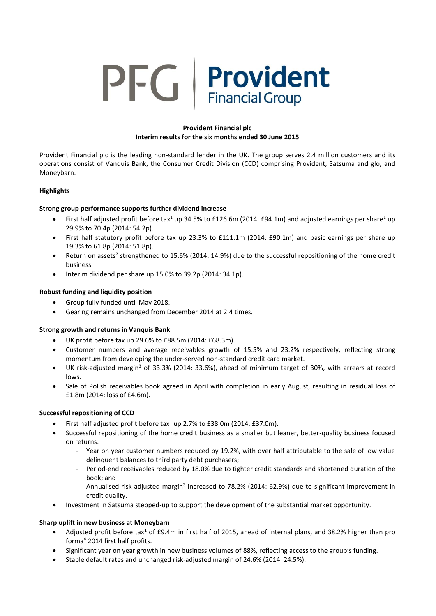# **PFG** Provident

# **Provident Financial plc Interim results for the six months ended 30 June 2015**

Provident Financial plc is the leading non-standard lender in the UK. The group serves 2.4 million customers and its operations consist of Vanquis Bank, the Consumer Credit Division (CCD) comprising Provident, Satsuma and glo, and Moneybarn.

# **Highlights**

# **Strong group performance supports further dividend increase**

- First half adjusted profit before tax<sup>1</sup> up 34.5% to £126.6m (2014: £94.1m) and adjusted earnings per share<sup>1</sup> up 29.9% to 70.4p (2014: 54.2p).
- First half statutory profit before tax up 23.3% to £111.1m (2014: £90.1m) and basic earnings per share up 19.3% to 61.8p (2014: 51.8p).
- Return on assets<sup>2</sup> strengthened to 15.6% (2014: 14.9%) due to the successful repositioning of the home credit business.
- $\bullet$  Interim dividend per share up 15.0% to 39.2p (2014: 34.1p).

# **Robust funding and liquidity position**

- Group fully funded until May 2018.
- Gearing remains unchanged from December 2014 at 2.4 times.

# **Strong growth and returns in Vanquis Bank**

- UK profit before tax up 29.6% to £88.5m (2014: £68.3m).
- Customer numbers and average receivables growth of 15.5% and 23.2% respectively, reflecting strong momentum from developing the under-served non-standard credit card market.
- UK risk-adjusted margin<sup>3</sup> of 33.3% (2014: 33.6%), ahead of minimum target of 30%, with arrears at record lows.
- Sale of Polish receivables book agreed in April with completion in early August, resulting in residual loss of £1.8m (2014: loss of £4.6m).

# **Successful repositioning of CCD**

- First half adjusted profit before  $\text{tax}^1$  up 2.7% to £38.0m (2014: £37.0m).
- Successful repositioning of the home credit business as a smaller but leaner, better-quality business focused on returns:
	- Year on year customer numbers reduced by 19.2%, with over half attributable to the sale of low value delinquent balances to third party debt purchasers;
	- Period-end receivables reduced by 18.0% due to tighter credit standards and shortened duration of the book; and
	- Annualised risk-adjusted margin<sup>3</sup> increased to 78.2% (2014: 62.9%) due to significant improvement in credit quality.
- Investment in Satsuma stepped-up to support the development of the substantial market opportunity.

# **Sharp uplift in new business at Moneybarn**

- Adjusted profit before tax<sup>1</sup> of £9.4m in first half of 2015, ahead of internal plans, and 38.2% higher than pro forma<sup>4</sup> 2014 first half profits.
- Significant year on year growth in new business volumes of 88%, reflecting access to the group's funding.
- Stable default rates and unchanged risk-adjusted margin of 24.6% (2014: 24.5%).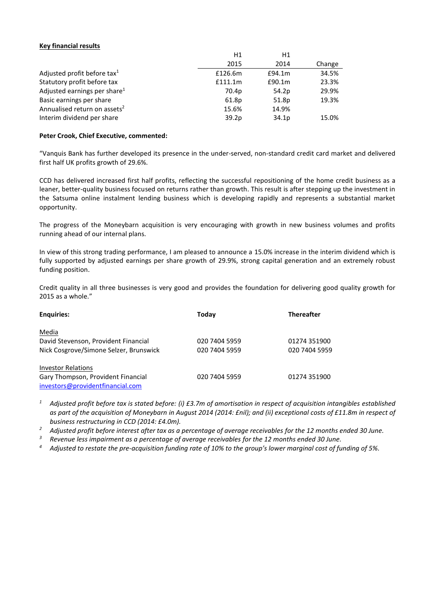#### **Key financial results**

|                                          | H1      | H1     |        |
|------------------------------------------|---------|--------|--------|
|                                          | 2015    | 2014   | Change |
| Adjusted profit before tax <sup>1</sup>  | £126.6m | £94.1m | 34.5%  |
| Statutory profit before tax              | f111.1m | £90.1m | 23.3%  |
| Adjusted earnings per share <sup>1</sup> | 70.4p   | 54.2p  | 29.9%  |
| Basic earnings per share                 | 61.8p   | 51.8p  | 19.3%  |
| Annualised return on assets <sup>2</sup> | 15.6%   | 14.9%  |        |
| Interim dividend per share               | 39.2p   | 34.1p  | 15.0%  |

#### **Peter Crook, Chief Executive, commented:**

"Vanquis Bank has further developed its presence in the under-served, non-standard credit card market and delivered first half UK profits growth of 29.6%.

CCD has delivered increased first half profits, reflecting the successful repositioning of the home credit business as a leaner, better-quality business focused on returns rather than growth. This result is after stepping up the investment in the Satsuma online instalment lending business which is developing rapidly and represents a substantial market opportunity.

The progress of the Moneybarn acquisition is very encouraging with growth in new business volumes and profits running ahead of our internal plans.

In view of this strong trading performance, I am pleased to announce a 15.0% increase in the interim dividend which is fully supported by adjusted earnings per share growth of 29.9%, strong capital generation and an extremely robust funding position.

Credit quality in all three businesses is very good and provides the foundation for delivering good quality growth for 2015 as a whole."

| <b>Enquiries:</b>                      | Today         | <b>Thereafter</b> |
|----------------------------------------|---------------|-------------------|
| Media                                  |               |                   |
| David Stevenson, Provident Financial   | 020 7404 5959 | 01274 351900      |
| Nick Cosgrove/Simone Selzer, Brunswick | 020 7404 5959 | 020 7404 5959     |
| <b>Investor Relations</b>              |               |                   |
| Gary Thompson, Provident Financial     | 020 7404 5959 | 01274 351900      |
| investors@providentfinancial.com       |               |                   |

*<sup>1</sup> Adjusted profit before tax is stated before: (i) £3.7m of amortisation in respect of acquisition intangibles established as part of the acquisition of Moneybarn in August 2014 (2014: £nil); and (ii) exceptional costs of £11.8m in respect of business restructuring in CCD (2014: £4.0m).*

*<sup>2</sup> Adjusted profit before interest after tax as a percentage of average receivables for the 12 months ended 30 June.*

*<sup>3</sup> Revenue less impairment as a percentage of average receivables for the 12 months ended 30 June.*

*<sup>4</sup> Adjusted to restate the pre-acquisition funding rate of 10% to the group's lower marginal cost of funding of 5%.*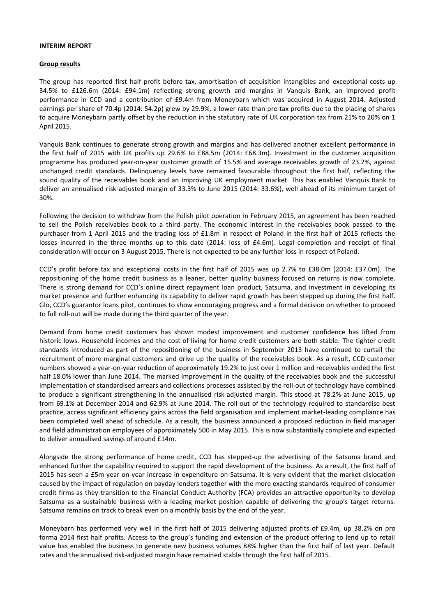#### **INTERIM REPORT**

#### **Group results**

The group has reported first half profit before tax, amortisation of acquisition intangibles and exceptional costs up 34.5% to £126.6m (2014: £94.1m) reflecting strong growth and margins in Vanquis Bank, an improved profit performance in CCD and a contribution of £9.4m from Moneybarn which was acquired in August 2014. Adjusted earnings per share of 70.4p (2014: 54.2p) grew by 29.9%, a lower rate than pre-tax profits due to the placing of shares to acquire Moneybarn partly offset by the reduction in the statutory rate of UK corporation tax from 21% to 20% on 1 April 2015.

Vanquis Bank continues to generate strong growth and margins and has delivered another excellent performance in the first half of 2015 with UK profits up 29.6% to £88.5m (2014: £68.3m). Investment in the customer acquisition programme has produced year-on-year customer growth of 15.5% and average receivables growth of 23.2%, against unchanged credit standards. Delinquency levels have remained favourable throughout the first half, reflecting the sound quality of the receivables book and an improving UK employment market. This has enabled Vanquis Bank to deliver an annualised risk-adjusted margin of 33.3% to June 2015 (2014: 33.6%), well ahead of its minimum target of 30%.

Following the decision to withdraw from the Polish pilot operation in February 2015, an agreement has been reached to sell the Polish receivables book to a third party. The economic interest in the receivables book passed to the purchaser from 1 April 2015 and the trading loss of £1.8m in respect of Poland in the first half of 2015 reflects the losses incurred in the three months up to this date (2014: loss of £4.6m). Legal completion and receipt of final consideration will occur on 3 August 2015. There is not expected to be any further loss in respect of Poland.

CCD's profit before tax and exceptional costs in the first half of 2015 was up 2.7% to £38.0m (2014: £37.0m). The repositioning of the home credit business as a leaner, better quality business focused on returns is now complete. There is strong demand for CCD's online direct repayment loan product, Satsuma, and investment in developing its market presence and further enhancing its capability to deliver rapid growth has been stepped up during the first half. Glo, CCD's guarantor loans pilot, continues to show encouraging progress and a formal decision on whether to proceed to full roll-out will be made during the third quarter of the year.

Demand from home credit customers has shown modest improvement and customer confidence has lifted from historic lows. Household incomes and the cost of living for home credit customers are both stable. The tighter credit standards introduced as part of the repositioning of the business in September 2013 have continued to curtail the recruitment of more marginal customers and drive up the quality of the receivables book. As a result, CCD customer numbers showed a year-on-year reduction of approximately 19.2% to just over 1 million and receivables ended the first half 18.0% lower than June 2014. The marked improvement in the quality of the receivables book and the successful implementation of standardised arrears and collections processes assisted by the roll-out of technology have combined to produce a significant strengthening in the annualised risk-adjusted margin. This stood at 78.2% at June 2015, up from 69.1% at December 2014 and 62.9% at June 2014. The roll-out of the technology required to standardise best practice, access significant efficiency gains across the field organisation and implement market-leading compliance has been completed well ahead of schedule. As a result, the business announced a proposed reduction in field manager and field administration employees of approximately 500 in May 2015. This is now substantially complete and expected to deliver annualised savings of around £14m.

Alongside the strong performance of home credit, CCD has stepped-up the advertising of the Satsuma brand and enhanced further the capability required to support the rapid development of the business. As a result, the first half of 2015 has seen a £5m year on year increase in expenditure on Satsuma. It is very evident that the market dislocation caused by the impact of regulation on payday lenders together with the more exacting standards required of consumer credit firms as they transition to the Financial Conduct Authority (FCA) provides an attractive opportunity to develop Satsuma as a sustainable business with a leading market position capable of delivering the group's target returns. Satsuma remains on track to break even on a monthly basis by the end of the year.

Moneybarn has performed very well in the first half of 2015 delivering adjusted profits of £9.4m, up 38.2% on pro forma 2014 first half profits. Access to the group's funding and extension of the product offering to lend up to retail value has enabled the business to generate new business volumes 88% higher than the first half of last year. Default rates and the annualised risk-adjusted margin have remained stable through the first half of 2015.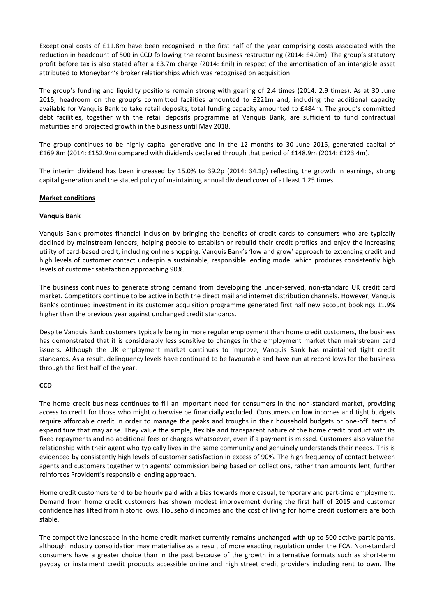Exceptional costs of £11.8m have been recognised in the first half of the year comprising costs associated with the reduction in headcount of 500 in CCD following the recent business restructuring (2014: £4.0m). The group's statutory profit before tax is also stated after a £3.7m charge (2014: £nil) in respect of the amortisation of an intangible asset attributed to Moneybarn's broker relationships which was recognised on acquisition.

The group's funding and liquidity positions remain strong with gearing of 2.4 times (2014: 2.9 times). As at 30 June 2015, headroom on the group's committed facilities amounted to £221m and, including the additional capacity available for Vanquis Bank to take retail deposits, total funding capacity amounted to £484m. The group's committed debt facilities, together with the retail deposits programme at Vanquis Bank, are sufficient to fund contractual maturities and projected growth in the business until May 2018.

The group continues to be highly capital generative and in the 12 months to 30 June 2015, generated capital of £169.8m (2014: £152.9m) compared with dividends declared through that period of £148.9m (2014: £123.4m).

The interim dividend has been increased by 15.0% to 39.2p (2014: 34.1p) reflecting the growth in earnings, strong capital generation and the stated policy of maintaining annual dividend cover of at least 1.25 times.

# **Market conditions**

#### **Vanquis Bank**

Vanquis Bank promotes financial inclusion by bringing the benefits of credit cards to consumers who are typically declined by mainstream lenders, helping people to establish or rebuild their credit profiles and enjoy the increasing utility of card-based credit, including online shopping. Vanquis Bank's 'low and grow' approach to extending credit and high levels of customer contact underpin a sustainable, responsible lending model which produces consistently high levels of customer satisfaction approaching 90%.

The business continues to generate strong demand from developing the under-served, non-standard UK credit card market. Competitors continue to be active in both the direct mail and internet distribution channels. However, Vanquis Bank's continued investment in its customer acquisition programme generated first half new account bookings 11.9% higher than the previous year against unchanged credit standards.

Despite Vanquis Bank customers typically being in more regular employment than home credit customers, the business has demonstrated that it is considerably less sensitive to changes in the employment market than mainstream card issuers. Although the UK employment market continues to improve, Vanquis Bank has maintained tight credit standards. As a result, delinquency levels have continued to be favourable and have run at record lows for the business through the first half of the year.

#### **CCD**

The home credit business continues to fill an important need for consumers in the non-standard market, providing access to credit for those who might otherwise be financially excluded. Consumers on low incomes and tight budgets require affordable credit in order to manage the peaks and troughs in their household budgets or one-off items of expenditure that may arise. They value the simple, flexible and transparent nature of the home credit product with its fixed repayments and no additional fees or charges whatsoever, even if a payment is missed. Customers also value the relationship with their agent who typically lives in the same community and genuinely understands their needs. This is evidenced by consistently high levels of customer satisfaction in excess of 90%. The high frequency of contact between agents and customers together with agents' commission being based on collections, rather than amounts lent, further reinforces Provident's responsible lending approach.

Home credit customers tend to be hourly paid with a bias towards more casual, temporary and part-time employment. Demand from home credit customers has shown modest improvement during the first half of 2015 and customer confidence has lifted from historic lows. Household incomes and the cost of living for home credit customers are both stable.

The competitive landscape in the home credit market currently remains unchanged with up to 500 active participants, although industry consolidation may materialise as a result of more exacting regulation under the FCA. Non-standard consumers have a greater choice than in the past because of the growth in alternative formats such as short-term payday or instalment credit products accessible online and high street credit providers including rent to own. The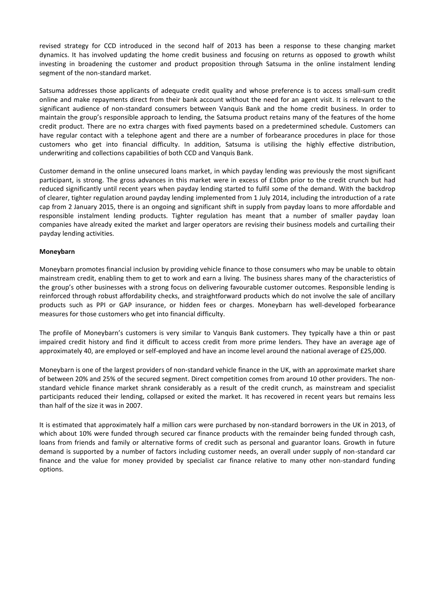revised strategy for CCD introduced in the second half of 2013 has been a response to these changing market dynamics. It has involved updating the home credit business and focusing on returns as opposed to growth whilst investing in broadening the customer and product proposition through Satsuma in the online instalment lending segment of the non-standard market.

Satsuma addresses those applicants of adequate credit quality and whose preference is to access small-sum credit online and make repayments direct from their bank account without the need for an agent visit. It is relevant to the significant audience of non-standard consumers between Vanquis Bank and the home credit business. In order to maintain the group's responsible approach to lending, the Satsuma product retains many of the features of the home credit product. There are no extra charges with fixed payments based on a predetermined schedule. Customers can have regular contact with a telephone agent and there are a number of forbearance procedures in place for those customers who get into financial difficulty. In addition, Satsuma is utilising the highly effective distribution, underwriting and collections capabilities of both CCD and Vanquis Bank.

Customer demand in the online unsecured loans market, in which payday lending was previously the most significant participant, is strong. The gross advances in this market were in excess of £10bn prior to the credit crunch but had reduced significantly until recent years when payday lending started to fulfil some of the demand. With the backdrop of clearer, tighter regulation around payday lending implemented from 1 July 2014, including the introduction of a rate cap from 2 January 2015, there is an ongoing and significant shift in supply from payday loans to more affordable and responsible instalment lending products. Tighter regulation has meant that a number of smaller payday loan companies have already exited the market and larger operators are revising their business models and curtailing their payday lending activities.

# **Moneybarn**

Moneybarn promotes financial inclusion by providing vehicle finance to those consumers who may be unable to obtain mainstream credit, enabling them to get to work and earn a living. The business shares many of the characteristics of the group's other businesses with a strong focus on delivering favourable customer outcomes. Responsible lending is reinforced through robust affordability checks, and straightforward products which do not involve the sale of ancillary products such as PPI or GAP insurance, or hidden fees or charges. Moneybarn has well-developed forbearance measures for those customers who get into financial difficulty.

The profile of Moneybarn's customers is very similar to Vanquis Bank customers. They typically have a thin or past impaired credit history and find it difficult to access credit from more prime lenders. They have an average age of approximately 40, are employed or self-employed and have an income level around the national average of £25,000.

Moneybarn is one of the largest providers of non-standard vehicle finance in the UK, with an approximate market share of between 20% and 25% of the secured segment. Direct competition comes from around 10 other providers. The nonstandard vehicle finance market shrank considerably as a result of the credit crunch, as mainstream and specialist participants reduced their lending, collapsed or exited the market. It has recovered in recent years but remains less than half of the size it was in 2007.

It is estimated that approximately half a million cars were purchased by non-standard borrowers in the UK in 2013, of which about 10% were funded through secured car finance products with the remainder being funded through cash, loans from friends and family or alternative forms of credit such as personal and guarantor loans. Growth in future demand is supported by a number of factors including customer needs, an overall under supply of non-standard car finance and the value for money provided by specialist car finance relative to many other non-standard funding options.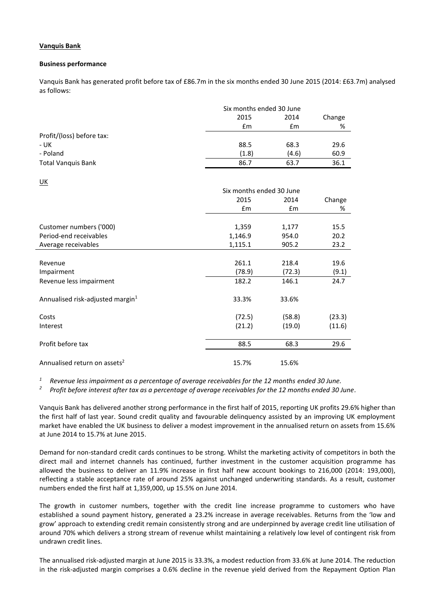# **Vanquis Bank**

#### **Business performance**

Vanquis Bank has generated profit before tax of £86.7m in the six months ended 30 June 2015 (2014: £63.7m) analysed as follows:

|                           |       | Six months ended 30 June |      |  |
|---------------------------|-------|--------------------------|------|--|
|                           | 2015  | 2014                     |      |  |
|                           | £m    | £m                       | %    |  |
| Profit/(loss) before tax: |       |                          |      |  |
| - UK                      | 88.5  | 68.3                     | 29.6 |  |
| - Poland                  | (1.8) | (4.6)                    | 60.9 |  |
| <b>Total Vanquis Bank</b> | 86.7  | 63.7                     | 36.1 |  |

UK

| ---                                          |                          |               |        |
|----------------------------------------------|--------------------------|---------------|--------|
|                                              | Six months ended 30 June |               |        |
|                                              | 2015                     | 2014          | Change |
|                                              | $\mathsf{fm}$            | $\mathsf{fm}$ | %      |
|                                              |                          |               |        |
| Customer numbers ('000)                      | 1,359                    | 1,177         | 15.5   |
| Period-end receivables                       | 1,146.9                  | 954.0         | 20.2   |
| Average receivables                          | 1,115.1                  | 905.2         | 23.2   |
|                                              |                          |               |        |
| Revenue                                      | 261.1                    | 218.4         | 19.6   |
| Impairment                                   | (78.9)                   | (72.3)        | (9.1)  |
| Revenue less impairment                      | 182.2                    | 146.1         | 24.7   |
| Annualised risk-adjusted margin <sup>1</sup> | 33.3%                    | 33.6%         |        |
| Costs                                        | (72.5)                   | (58.8)        | (23.3) |
| Interest                                     | (21.2)                   | (19.0)        | (11.6) |
| Profit before tax                            | 88.5                     | 68.3          | 29.6   |
| Annualised return on assets <sup>2</sup>     | 15.7%                    | 15.6%         |        |

*<sup>1</sup> Revenue less impairment as a percentage of average receivables for the 12 months ended 30 June.*

*<sup>2</sup> Profit before interest after tax as a percentage of average receivables for the 12 months ended 30 June.*

Vanquis Bank has delivered another strong performance in the first half of 2015, reporting UK profits 29.6% higher than the first half of last year. Sound credit quality and favourable delinquency assisted by an improving UK employment market have enabled the UK business to deliver a modest improvement in the annualised return on assets from 15.6% at June 2014 to 15.7% at June 2015.

Demand for non-standard credit cards continues to be strong. Whilst the marketing activity of competitors in both the direct mail and internet channels has continued, further investment in the customer acquisition programme has allowed the business to deliver an 11.9% increase in first half new account bookings to 216,000 (2014: 193,000), reflecting a stable acceptance rate of around 25% against unchanged underwriting standards. As a result, customer numbers ended the first half at 1,359,000, up 15.5% on June 2014.

The growth in customer numbers, together with the credit line increase programme to customers who have established a sound payment history, generated a 23.2% increase in average receivables. Returns from the 'low and grow' approach to extending credit remain consistently strong and are underpinned by average credit line utilisation of around 70% which delivers a strong stream of revenue whilst maintaining a relatively low level of contingent risk from undrawn credit lines.

The annualised risk-adjusted margin at June 2015 is 33.3%, a modest reduction from 33.6% at June 2014. The reduction in the risk-adjusted margin comprises a 0.6% decline in the revenue yield derived from the Repayment Option Plan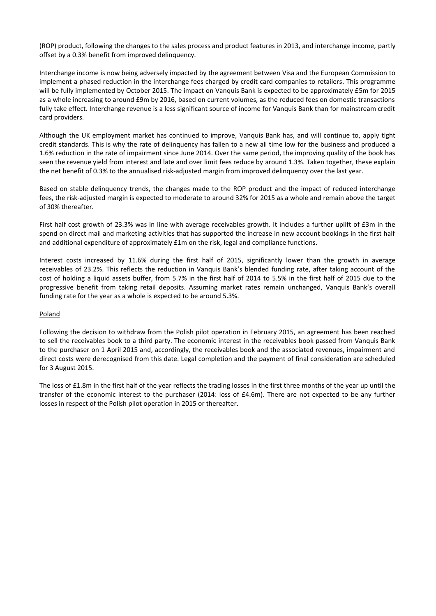(ROP) product, following the changes to the sales process and product features in 2013, and interchange income, partly offset by a 0.3% benefit from improved delinquency.

Interchange income is now being adversely impacted by the agreement between Visa and the European Commission to implement a phased reduction in the interchange fees charged by credit card companies to retailers. This programme will be fully implemented by October 2015. The impact on Vanquis Bank is expected to be approximately £5m for 2015 as a whole increasing to around £9m by 2016, based on current volumes, as the reduced fees on domestic transactions fully take effect. Interchange revenue is a less significant source of income for Vanquis Bank than for mainstream credit card providers.

Although the UK employment market has continued to improve, Vanquis Bank has, and will continue to, apply tight credit standards. This is why the rate of delinquency has fallen to a new all time low for the business and produced a 1.6% reduction in the rate of impairment since June 2014. Over the same period, the improving quality of the book has seen the revenue yield from interest and late and over limit fees reduce by around 1.3%. Taken together, these explain the net benefit of 0.3% to the annualised risk-adjusted margin from improved delinquency over the last year.

Based on stable delinquency trends, the changes made to the ROP product and the impact of reduced interchange fees, the risk-adjusted margin is expected to moderate to around 32% for 2015 as a whole and remain above the target of 30% thereafter.

First half cost growth of 23.3% was in line with average receivables growth. It includes a further uplift of £3m in the spend on direct mail and marketing activities that has supported the increase in new account bookings in the first half and additional expenditure of approximately £1m on the risk, legal and compliance functions.

Interest costs increased by 11.6% during the first half of 2015, significantly lower than the growth in average receivables of 23.2%. This reflects the reduction in Vanquis Bank's blended funding rate, after taking account of the cost of holding a liquid assets buffer, from 5.7% in the first half of 2014 to 5.5% in the first half of 2015 due to the progressive benefit from taking retail deposits. Assuming market rates remain unchanged, Vanquis Bank's overall funding rate for the year as a whole is expected to be around 5.3%.

# Poland

Following the decision to withdraw from the Polish pilot operation in February 2015, an agreement has been reached to sell the receivables book to a third party. The economic interest in the receivables book passed from Vanquis Bank to the purchaser on 1 April 2015 and, accordingly, the receivables book and the associated revenues, impairment and direct costs were derecognised from this date. Legal completion and the payment of final consideration are scheduled for 3 August 2015.

The loss of £1.8m in the first half of the year reflects the trading losses in the first three months of the year up until the transfer of the economic interest to the purchaser (2014: loss of £4.6m). There are not expected to be any further losses in respect of the Polish pilot operation in 2015 or thereafter.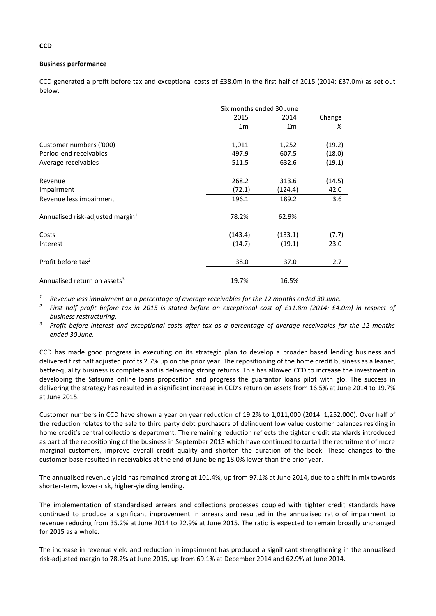# **Business performance**

CCD generated a profit before tax and exceptional costs of £38.0m in the first half of 2015 (2014: £37.0m) as set out below:

|                                              |         | Six months ended 30 June |        |  |
|----------------------------------------------|---------|--------------------------|--------|--|
|                                              | 2015    | 2014                     | Change |  |
|                                              | £m      | Em                       | %      |  |
|                                              |         |                          |        |  |
| Customer numbers ('000)                      | 1,011   | 1,252                    | (19.2) |  |
| Period-end receivables                       | 497.9   | 607.5                    | (18.0) |  |
| Average receivables                          | 511.5   | 632.6                    | (19.1) |  |
|                                              |         |                          |        |  |
| Revenue                                      | 268.2   | 313.6                    | (14.5) |  |
| Impairment                                   | (72.1)  | (124.4)                  | 42.0   |  |
| Revenue less impairment                      | 196.1   | 189.2                    | 3.6    |  |
| Annualised risk-adjusted margin <sup>1</sup> | 78.2%   | 62.9%                    |        |  |
| Costs                                        | (143.4) | (133.1)                  | (7.7)  |  |
| Interest                                     | (14.7)  | (19.1)                   | 23.0   |  |
| Profit before tax <sup>2</sup>               | 38.0    | 37.0                     | 2.7    |  |
| Annualised return on assets <sup>3</sup>     | 19.7%   | 16.5%                    |        |  |
|                                              |         |                          |        |  |

*<sup>1</sup> Revenue less impairment as a percentage of average receivables for the 12 months ended 30 June.*

*2 First half profit before tax in 2015 is stated before an exceptional cost of £11.8m (2014: £4.0m) in respect of business restructuring.*

*<sup>3</sup> Profit before interest and exceptional costs after tax as a percentage of average receivables for the 12 months ended 30 June.*

CCD has made good progress in executing on its strategic plan to develop a broader based lending business and delivered first half adjusted profits 2.7% up on the prior year. The repositioning of the home credit business as a leaner, better-quality business is complete and is delivering strong returns. This has allowed CCD to increase the investment in developing the Satsuma online loans proposition and progress the guarantor loans pilot with glo. The success in delivering the strategy has resulted in a significant increase in CCD's return on assets from 16.5% at June 2014 to 19.7% at June 2015.

Customer numbers in CCD have shown a year on year reduction of 19.2% to 1,011,000 (2014: 1,252,000). Over half of the reduction relates to the sale to third party debt purchasers of delinquent low value customer balances residing in home credit's central collections department. The remaining reduction reflects the tighter credit standards introduced as part of the repositioning of the business in September 2013 which have continued to curtail the recruitment of more marginal customers, improve overall credit quality and shorten the duration of the book. These changes to the customer base resulted in receivables at the end of June being 18.0% lower than the prior year.

The annualised revenue yield has remained strong at 101.4%, up from 97.1% at June 2014, due to a shift in mix towards shorter-term, lower-risk, higher-yielding lending.

The implementation of standardised arrears and collections processes coupled with tighter credit standards have continued to produce a significant improvement in arrears and resulted in the annualised ratio of impairment to revenue reducing from 35.2% at June 2014 to 22.9% at June 2015. The ratio is expected to remain broadly unchanged for 2015 as a whole.

The increase in revenue yield and reduction in impairment has produced a significant strengthening in the annualised risk-adjusted margin to 78.2% at June 2015, up from 69.1% at December 2014 and 62.9% at June 2014.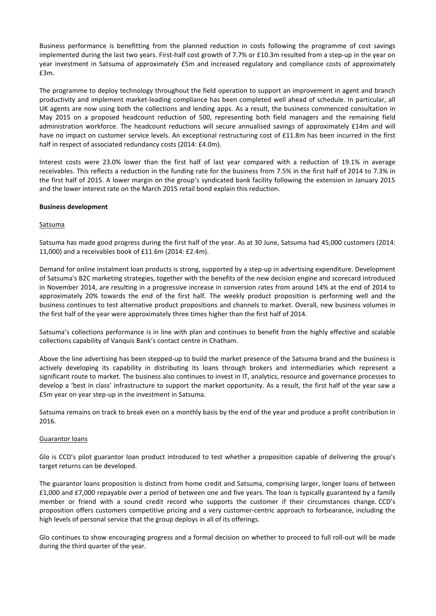Business performance is benefitting from the planned reduction in costs following the programme of cost savings implemented during the last two years. First-half cost growth of 7.7% or £10.3m resulted from a step-up in the year on year investment in Satsuma of approximately £5m and increased regulatory and compliance costs of approximately £3m.

The programme to deploy technology throughout the field operation to support an improvement in agent and branch productivity and implement market-leading compliance has been completed well ahead of schedule. In particular, all UK agents are now using both the collections and lending apps. As a result, the business commenced consultation in May 2015 on a proposed headcount reduction of 500, representing both field managers and the remaining field administration workforce. The headcount reductions will secure annualised savings of approximately £14m and will have no impact on customer service levels. An exceptional restructuring cost of £11.8m has been incurred in the first half in respect of associated redundancy costs (2014: £4.0m).

Interest costs were 23.0% lower than the first half of last year compared with a reduction of 19.1% in average receivables. This reflects a reduction in the funding rate for the business from 7.5% in the first half of 2014 to 7.3% in the first half of 2015. A lower margin on the group's syndicated bank facility following the extension in January 2015 and the lower interest rate on the March 2015 retail bond explain this reduction.

# **Business development**

#### Satsuma

Satsuma has made good progress during the first half of the year. As at 30 June, Satsuma had 45,000 customers (2014: 11,000) and a receivables book of £11.6m (2014: £2.4m).

Demand for online instalment loan products is strong, supported by a step-up in advertising expenditure. Development of Satsuma's B2C marketing strategies, together with the benefits of the new decision engine and scorecard introduced in November 2014, are resulting in a progressive increase in conversion rates from around 14% at the end of 2014 to approximately 20% towards the end of the first half. The weekly product proposition is performing well and the business continues to test alternative product propositions and channels to market. Overall, new business volumes in the first half of the year were approximately three times higher than the first half of 2014.

Satsuma's collections performance is in line with plan and continues to benefit from the highly effective and scalable collections capability of Vanquis Bank's contact centre in Chatham.

Above the line advertising has been stepped-up to build the market presence of the Satsuma brand and the business is actively developing its capability in distributing its loans through brokers and intermediaries which represent a significant route to market. The business also continues to invest in IT, analytics, resource and governance processes to develop a 'best in class' infrastructure to support the market opportunity. As a result, the first half of the year saw a £5m year on year step-up in the investment in Satsuma.

Satsuma remains on track to break even on a monthly basis by the end of the year and produce a profit contribution in 2016.

#### Guarantor loans

Glo is CCD's pilot guarantor loan product introduced to test whether a proposition capable of delivering the group's target returns can be developed.

The guarantor loans proposition is distinct from home credit and Satsuma, comprising larger, longer loans of between £1,000 and £7,000 repayable over a period of between one and five years. The loan is typically guaranteed by a family member or friend with a sound credit record who supports the customer if their circumstances change. CCD's proposition offers customers competitive pricing and a very customer-centric approach to forbearance, including the high levels of personal service that the group deploys in all of its offerings.

Glo continues to show encouraging progress and a formal decision on whether to proceed to full roll-out will be made during the third quarter of the year.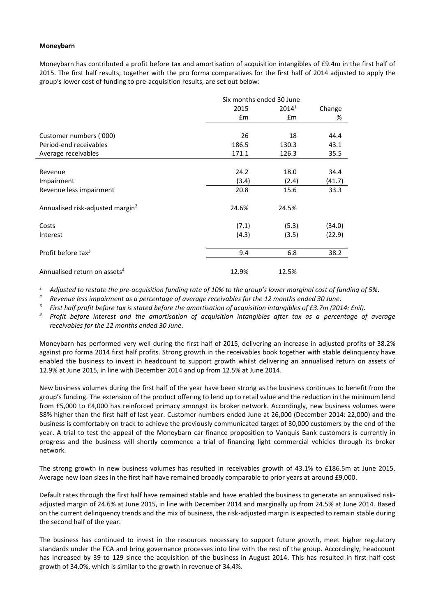#### **Moneybarn**

Moneybarn has contributed a profit before tax and amortisation of acquisition intangibles of £9.4m in the first half of 2015. The first half results, together with the pro forma comparatives for the first half of 2014 adjusted to apply the group's lower cost of funding to pre-acquisition results, are set out below:

|                                              |       | Six months ended 30 June |        |  |  |
|----------------------------------------------|-------|--------------------------|--------|--|--|
|                                              | 2015  | $2014^1$                 | Change |  |  |
|                                              | £m    | £m                       | %      |  |  |
|                                              |       |                          |        |  |  |
| Customer numbers ('000)                      | 26    | 18                       | 44.4   |  |  |
| Period-end receivables                       | 186.5 | 130.3                    | 43.1   |  |  |
| Average receivables                          | 171.1 | 126.3                    | 35.5   |  |  |
|                                              |       |                          |        |  |  |
| Revenue                                      | 24.2  | 18.0                     | 34.4   |  |  |
| Impairment                                   | (3.4) | (2.4)                    | (41.7) |  |  |
| Revenue less impairment                      | 20.8  | 15.6                     | 33.3   |  |  |
| Annualised risk-adjusted margin <sup>2</sup> | 24.6% | 24.5%                    |        |  |  |
| Costs                                        | (7.1) | (5.3)                    | (34.0) |  |  |
| Interest                                     | (4.3) | (3.5)                    | (22.9) |  |  |
| Profit before tax <sup>3</sup>               | 9.4   | 6.8                      | 38.2   |  |  |
| Annualised return on assets <sup>4</sup>     | 12.9% | 12.5%                    |        |  |  |

*<sup>1</sup> Adjusted to restate the pre-acquisition funding rate of 10% to the group's lower marginal cost of funding of 5%.* 

*<sup>2</sup> Revenue less impairment as a percentage of average receivables for the 12 months ended 30 June.*

*3 First half profit before tax is stated before the amortisation of acquisition intangibles of £3.7m (2014: £nil).*

*<sup>4</sup> Profit before interest and the amortisation of acquisition intangibles after tax as a percentage of average receivables for the 12 months ended 30 June.*

Moneybarn has performed very well during the first half of 2015, delivering an increase in adjusted profits of 38.2% against pro forma 2014 first half profits. Strong growth in the receivables book together with stable delinquency have enabled the business to invest in headcount to support growth whilst delivering an annualised return on assets of 12.9% at June 2015, in line with December 2014 and up from 12.5% at June 2014.

New business volumes during the first half of the year have been strong as the business continues to benefit from the group's funding. The extension of the product offering to lend up to retail value and the reduction in the minimum lend from £5,000 to £4,000 has reinforced primacy amongst its broker network. Accordingly, new business volumes were 88% higher than the first half of last year. Customer numbers ended June at 26,000 (December 2014: 22,000) and the business is comfortably on track to achieve the previously communicated target of 30,000 customers by the end of the year. A trial to test the appeal of the Moneybarn car finance proposition to Vanquis Bank customers is currently in progress and the business will shortly commence a trial of financing light commercial vehicles through its broker network.

The strong growth in new business volumes has resulted in receivables growth of 43.1% to £186.5m at June 2015. Average new loan sizes in the first half have remained broadly comparable to prior years at around £9,000.

Default rates through the first half have remained stable and have enabled the business to generate an annualised riskadjusted margin of 24.6% at June 2015, in line with December 2014 and marginally up from 24.5% at June 2014. Based on the current delinquency trends and the mix of business, the risk-adjusted margin is expected to remain stable during the second half of the year.

The business has continued to invest in the resources necessary to support future growth, meet higher regulatory standards under the FCA and bring governance processes into line with the rest of the group. Accordingly, headcount has increased by 39 to 129 since the acquisition of the business in August 2014. This has resulted in first half cost growth of 34.0%, which is similar to the growth in revenue of 34.4%.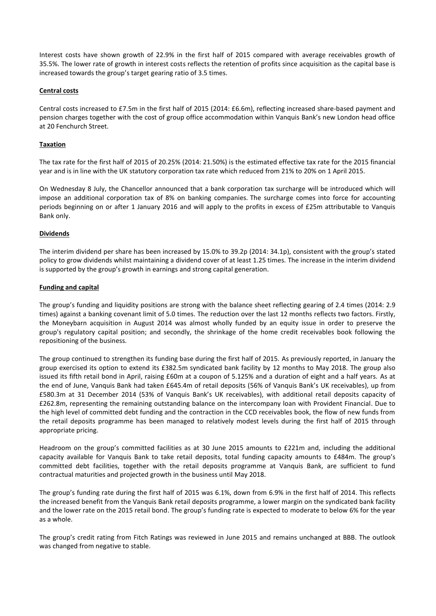Interest costs have shown growth of 22.9% in the first half of 2015 compared with average receivables growth of 35.5%. The lower rate of growth in interest costs reflects the retention of profits since acquisition as the capital base is increased towards the group's target gearing ratio of 3.5 times.

## **Central costs**

Central costs increased to £7.5m in the first half of 2015 (2014: £6.6m), reflecting increased share-based payment and pension charges together with the cost of group office accommodation within Vanquis Bank's new London head office at 20 Fenchurch Street.

## **Taxation**

The tax rate for the first half of 2015 of 20.25% (2014: 21.50%) is the estimated effective tax rate for the 2015 financial year and is in line with the UK statutory corporation tax rate which reduced from 21% to 20% on 1 April 2015.

On Wednesday 8 July, the Chancellor announced that a bank corporation tax surcharge will be introduced which will impose an additional corporation tax of 8% on banking companies. The surcharge comes into force for accounting periods beginning on or after 1 January 2016 and will apply to the profits in excess of £25m attributable to Vanquis Bank only.

#### **Dividends**

The interim dividend per share has been increased by 15.0% to 39.2p (2014: 34.1p), consistent with the group's stated policy to grow dividends whilst maintaining a dividend cover of at least 1.25 times. The increase in the interim dividend is supported by the group's growth in earnings and strong capital generation.

#### **Funding and capital**

The group's funding and liquidity positions are strong with the balance sheet reflecting gearing of 2.4 times (2014: 2.9 times) against a banking covenant limit of 5.0 times. The reduction over the last 12 months reflects two factors. Firstly, the Moneybarn acquisition in August 2014 was almost wholly funded by an equity issue in order to preserve the group's regulatory capital position; and secondly, the shrinkage of the home credit receivables book following the repositioning of the business.

The group continued to strengthen its funding base during the first half of 2015. As previously reported, in January the group exercised its option to extend its £382.5m syndicated bank facility by 12 months to May 2018. The group also issued its fifth retail bond in April, raising £60m at a coupon of 5.125% and a duration of eight and a half years. As at the end of June, Vanquis Bank had taken £645.4m of retail deposits (56% of Vanquis Bank's UK receivables), up from £580.3m at 31 December 2014 (53% of Vanquis Bank's UK receivables), with additional retail deposits capacity of £262.8m, representing the remaining outstanding balance on the intercompany loan with Provident Financial. Due to the high level of committed debt funding and the contraction in the CCD receivables book, the flow of new funds from the retail deposits programme has been managed to relatively modest levels during the first half of 2015 through appropriate pricing.

Headroom on the group's committed facilities as at 30 June 2015 amounts to £221m and, including the additional capacity available for Vanquis Bank to take retail deposits, total funding capacity amounts to £484m. The group's committed debt facilities, together with the retail deposits programme at Vanquis Bank, are sufficient to fund contractual maturities and projected growth in the business until May 2018.

The group's funding rate during the first half of 2015 was 6.1%, down from 6.9% in the first half of 2014. This reflects the increased benefit from the Vanquis Bank retail deposits programme, a lower margin on the syndicated bank facility and the lower rate on the 2015 retail bond. The group's funding rate is expected to moderate to below 6% for the year as a whole.

The group's credit rating from Fitch Ratings was reviewed in June 2015 and remains unchanged at BBB. The outlook was changed from negative to stable.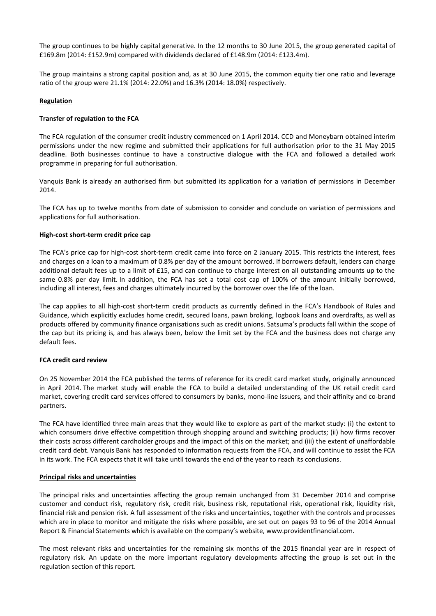The group continues to be highly capital generative. In the 12 months to 30 June 2015, the group generated capital of £169.8m (2014: £152.9m) compared with dividends declared of £148.9m (2014: £123.4m).

The group maintains a strong capital position and, as at 30 June 2015, the common equity tier one ratio and leverage ratio of the group were 21.1% (2014: 22.0%) and 16.3% (2014: 18.0%) respectively.

## **Regulation**

## **Transfer of regulation to the FCA**

The FCA regulation of the consumer credit industry commenced on 1 April 2014. CCD and Moneybarn obtained interim permissions under the new regime and submitted their applications for full authorisation prior to the 31 May 2015 deadline. Both businesses continue to have a constructive dialogue with the FCA and followed a detailed work programme in preparing for full authorisation.

Vanquis Bank is already an authorised firm but submitted its application for a variation of permissions in December 2014.

The FCA has up to twelve months from date of submission to consider and conclude on variation of permissions and applications for full authorisation.

#### **High-cost short-term credit price cap**

The FCA's price cap for high-cost short-term credit came into force on 2 January 2015. This restricts the interest, fees and charges on a loan to a maximum of 0.8% per day of the amount borrowed. If borrowers default, lenders can charge additional default fees up to a limit of £15, and can continue to charge interest on all outstanding amounts up to the same 0.8% per day limit. In addition, the FCA has set a total cost cap of 100% of the amount initially borrowed, including all interest, fees and charges ultimately incurred by the borrower over the life of the loan.

The cap applies to all high-cost short-term credit products as currently defined in the FCA's Handbook of Rules and Guidance, which explicitly excludes home credit, secured loans, pawn broking, logbook loans and overdrafts, as well as products offered by community finance organisations such as credit unions. Satsuma's products fall within the scope of the cap but its pricing is, and has always been, below the limit set by the FCA and the business does not charge any default fees.

# **FCA credit card review**

On 25 November 2014 the FCA published the terms of reference for its credit card market study, originally announced in April 2014. The market study will enable the FCA to build a detailed understanding of the UK retail credit card market, covering credit card services offered to consumers by banks, mono-line issuers, and their affinity and co-brand partners.

The FCA have identified three main areas that they would like to explore as part of the market study: (i) the extent to which consumers drive effective competition through shopping around and switching products; (ii) how firms recover their costs across different cardholder groups and the impact of this on the market; and (iii) the extent of unaffordable credit card debt. Vanquis Bank has responded to information requests from the FCA, and will continue to assist the FCA in its work. The FCA expects that it will take until towards the end of the year to reach its conclusions.

# **Principal risks and uncertainties**

The principal risks and uncertainties affecting the group remain unchanged from 31 December 2014 and comprise customer and conduct risk, regulatory risk, credit risk, business risk, reputational risk, operational risk, liquidity risk, financial risk and pension risk. A full assessment of the risks and uncertainties, together with the controls and processes which are in place to monitor and mitigate the risks where possible, are set out on pages 93 to 96 of the 2014 Annual Report & Financial Statements which is available on the company's website, www.providentfinancial.com.

The most relevant risks and uncertainties for the remaining six months of the 2015 financial year are in respect of regulatory risk. An update on the more important regulatory developments affecting the group is set out in the regulation section of this report.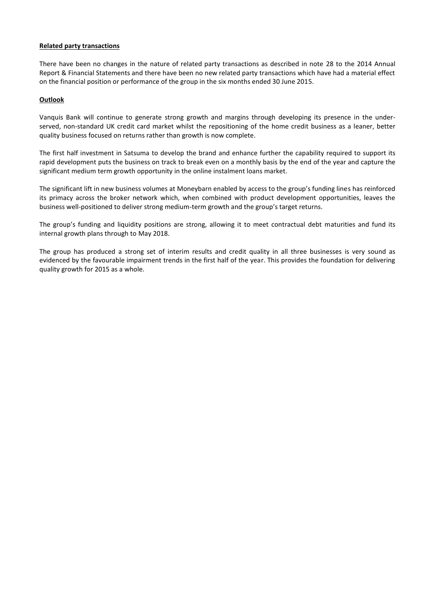#### **Related party transactions**

There have been no changes in the nature of related party transactions as described in note 28 to the 2014 Annual Report & Financial Statements and there have been no new related party transactions which have had a material effect on the financial position or performance of the group in the six months ended 30 June 2015.

#### **Outlook**

Vanquis Bank will continue to generate strong growth and margins through developing its presence in the underserved, non-standard UK credit card market whilst the repositioning of the home credit business as a leaner, better quality business focused on returns rather than growth is now complete.

The first half investment in Satsuma to develop the brand and enhance further the capability required to support its rapid development puts the business on track to break even on a monthly basis by the end of the year and capture the significant medium term growth opportunity in the online instalment loans market.

The significant lift in new business volumes at Moneybarn enabled by access to the group's funding lines has reinforced its primacy across the broker network which, when combined with product development opportunities, leaves the business well-positioned to deliver strong medium-term growth and the group's target returns.

The group's funding and liquidity positions are strong, allowing it to meet contractual debt maturities and fund its internal growth plans through to May 2018.

The group has produced a strong set of interim results and credit quality in all three businesses is very sound as evidenced by the favourable impairment trends in the first half of the year. This provides the foundation for delivering quality growth for 2015 as a whole.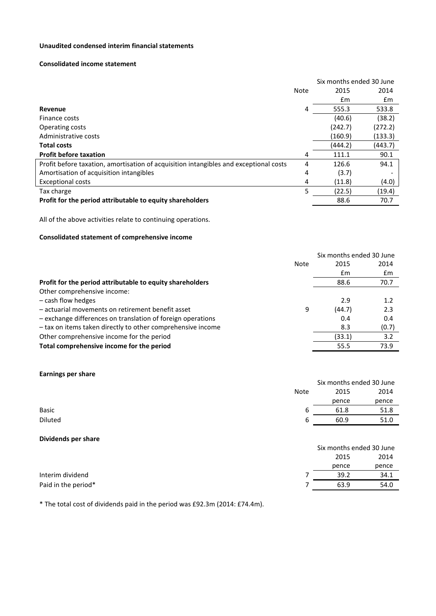# **Unaudited condensed interim financial statements**

#### **Consolidated income statement**

|                                                                                       | Six months ended 30 June |               |         |
|---------------------------------------------------------------------------------------|--------------------------|---------------|---------|
|                                                                                       | Note                     | 2015          | 2014    |
|                                                                                       |                          | $\mathsf{fm}$ | £m      |
| Revenue                                                                               | 4                        | 555.3         | 533.8   |
| Finance costs                                                                         |                          | (40.6)        | (38.2)  |
| Operating costs                                                                       |                          | (242.7)       | (272.2) |
| Administrative costs                                                                  |                          | (160.9)       | (133.3) |
| <b>Total costs</b>                                                                    |                          | (444.2)       | (443.7) |
| <b>Profit before taxation</b>                                                         | 4                        | 111.1         | 90.1    |
| Profit before taxation, amortisation of acquisition intangibles and exceptional costs | 4                        | 126.6         | 94.1    |
| Amortisation of acquisition intangibles                                               | 4                        | (3.7)         |         |
| <b>Exceptional costs</b>                                                              | 4                        | (11.8)        | (4.0)   |
| Tax charge                                                                            | 5                        | (22.5)        | (19.4)  |
| Profit for the period attributable to equity shareholders                             |                          | 88.6          | 70.7    |

All of the above activities relate to continuing operations.

# **Consolidated statement of comprehensive income**

|                                                             | Six months ended 30 June |       |
|-------------------------------------------------------------|--------------------------|-------|
| Note                                                        | 2015                     | 2014  |
|                                                             | £m                       | £m    |
| Profit for the period attributable to equity shareholders   | 88.6                     | 70.7  |
| Other comprehensive income:                                 |                          |       |
| - cash flow hedges                                          | 2.9                      | 1.2   |
| - actuarial movements on retirement benefit asset<br>9      | (44.7)                   | 2.3   |
| - exchange differences on translation of foreign operations | 0.4                      | 0.4   |
| - tax on items taken directly to other comprehensive income | 8.3                      | (0.7) |
| Other comprehensive income for the period                   | (33.1)                   | 3.2   |
| Total comprehensive income for the period                   | 55.5                     | 73.9  |

# **Earnings per share**

|         |             | Six months ended 30 June |       |  |
|---------|-------------|--------------------------|-------|--|
|         | <b>Note</b> | 2015                     | 2014  |  |
|         |             | pence                    | pence |  |
| Basic   | b           | 61.8                     | 51.8  |  |
| Diluted | b           | 60.9                     | 51.0  |  |
|         |             |                          |       |  |

#### **Dividends per share**

|                     | 2015  | 2014  |
|---------------------|-------|-------|
|                     | pence | pence |
| Interim dividend    | 39.2  | 34.1  |
| Paid in the period* | 63.9  | 54.0  |

Six months ended 30 June

\* The total cost of dividends paid in the period was £92.3m (2014: £74.4m).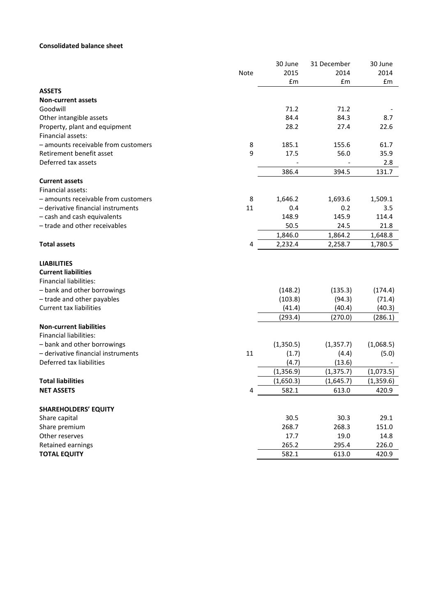# **Consolidated balance sheet**

|                                     |      | 30 June       | 31 December | 30 June   |
|-------------------------------------|------|---------------|-------------|-----------|
|                                     | Note | 2015          | 2014        | 2014      |
|                                     |      | $\mathsf{fm}$ | £m          | £m        |
| <b>ASSETS</b>                       |      |               |             |           |
| <b>Non-current assets</b>           |      |               |             |           |
| Goodwill                            |      | 71.2          | 71.2        |           |
| Other intangible assets             |      | 84.4          | 84.3        | 8.7       |
| Property, plant and equipment       |      | 28.2          | 27.4        | 22.6      |
| Financial assets:                   |      |               |             |           |
| - amounts receivable from customers | 8    | 185.1         | 155.6       | 61.7      |
| Retirement benefit asset            | 9    | 17.5          | 56.0        | 35.9      |
| Deferred tax assets                 |      |               |             | 2.8       |
|                                     |      | 386.4         | 394.5       | 131.7     |
| <b>Current assets</b>               |      |               |             |           |
| Financial assets:                   |      |               |             |           |
| - amounts receivable from customers | 8    | 1,646.2       | 1,693.6     | 1,509.1   |
| - derivative financial instruments  | 11   | 0.4           | 0.2         | 3.5       |
| - cash and cash equivalents         |      | 148.9         | 145.9       | 114.4     |
| - trade and other receivables       |      | 50.5          | 24.5        | 21.8      |
|                                     |      | 1,846.0       | 1,864.2     | 1,648.8   |
| <b>Total assets</b>                 | 4    | 2,232.4       | 2,258.7     | 1,780.5   |
| <b>LIABILITIES</b>                  |      |               |             |           |
| <b>Current liabilities</b>          |      |               |             |           |
| <b>Financial liabilities:</b>       |      |               |             |           |
| - bank and other borrowings         |      | (148.2)       | (135.3)     | (174.4)   |
| - trade and other payables          |      | (103.8)       | (94.3)      | (71.4)    |
| <b>Current tax liabilities</b>      |      | (41.4)        | (40.4)      | (40.3)    |
|                                     |      | (293.4)       | (270.0)     | (286.1)   |
| <b>Non-current liabilities</b>      |      |               |             |           |
| <b>Financial liabilities:</b>       |      |               |             |           |
| - bank and other borrowings         |      | (1,350.5)     | (1, 357.7)  | (1,068.5) |
| - derivative financial instruments  | 11   | (1.7)         | (4.4)       | (5.0)     |
| Deferred tax liabilities            |      | (4.7)         | (13.6)      |           |
|                                     |      | (1, 356.9)    | (1, 375.7)  | (1,073.5) |
| <b>Total liabilities</b>            |      | (1,650.3)     | (1,645.7)   | (1,359.6) |
| <b>NET ASSETS</b>                   | 4    | 582.1         | 613.0       | 420.9     |
|                                     |      |               |             |           |
| <b>SHAREHOLDERS' EQUITY</b>         |      |               |             |           |
| Share capital                       |      | 30.5          | 30.3        | 29.1      |
| Share premium                       |      | 268.7         | 268.3       | 151.0     |
| Other reserves                      |      | 17.7          | 19.0        | 14.8      |
| Retained earnings                   |      | 265.2         | 295.4       | 226.0     |
| <b>TOTAL EQUITY</b>                 |      | 582.1         | 613.0       | 420.9     |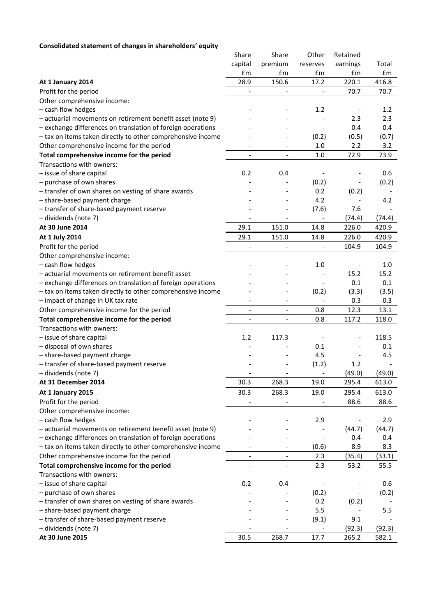# **Consolidated statement of changes in shareholders' equity**

| , ,,, ,,,,, ,,,,,,,,,,                                      | Share                        | Share                        | Other                    | Retained |        |
|-------------------------------------------------------------|------------------------------|------------------------------|--------------------------|----------|--------|
|                                                             | capital                      | premium                      |                          | earnings | Total  |
|                                                             | £m                           | £m                           | reserves<br>£m           | £m       | £m     |
|                                                             | 28.9                         | 150.6                        | 17.2                     | 220.1    | 416.8  |
| At 1 January 2014<br>Profit for the period                  |                              |                              |                          |          | 70.7   |
|                                                             |                              |                              |                          | 70.7     |        |
| Other comprehensive income:                                 |                              |                              |                          |          |        |
| - cash flow hedges                                          |                              |                              | 1.2                      |          | 1.2    |
| - actuarial movements on retirement benefit asset (note 9)  |                              |                              |                          | 2.3      | 2.3    |
| - exchange differences on translation of foreign operations |                              |                              |                          | 0.4      | 0.4    |
| - tax on items taken directly to other comprehensive income |                              |                              | (0.2)                    | (0.5)    | (0.7)  |
| Other comprehensive income for the period                   | $\overline{\phantom{a}}$     | $\overline{\phantom{a}}$     | 1.0                      | 2.2      | 3.2    |
| Total comprehensive income for the period                   | $\overline{\phantom{a}}$     | $\overline{\phantom{a}}$     | 1.0                      | 72.9     | 73.9   |
| Transactions with owners:                                   |                              |                              |                          |          |        |
| - issue of share capital                                    | 0.2                          | 0.4                          |                          |          | 0.6    |
| - purchase of own shares                                    |                              |                              | (0.2)                    |          | (0.2)  |
| - transfer of own shares on vesting of share awards         |                              |                              | 0.2                      | (0.2)    |        |
| - share-based payment charge                                |                              |                              | 4.2                      |          | 4.2    |
| - transfer of share-based payment reserve                   |                              |                              | (7.6)                    | 7.6      |        |
| - dividends (note 7)                                        |                              |                              |                          | (74.4)   | (74.4) |
| At 30 June 2014                                             | 29.1                         | 151.0                        | 14.8                     | 226.0    | 420.9  |
| At 1 July 2014                                              | 29.1                         | 151.0                        | 14.8                     | 226.0    | 420.9  |
| Profit for the period                                       | $\frac{1}{2}$                |                              | $\overline{\phantom{a}}$ | 104.9    | 104.9  |
| Other comprehensive income:                                 |                              |                              |                          |          |        |
| - cash flow hedges                                          |                              |                              | 1.0                      |          | 1.0    |
| - actuarial movements on retirement benefit asset           |                              |                              |                          | 15.2     | 15.2   |
| - exchange differences on translation of foreign operations |                              |                              | $\overline{\phantom{a}}$ | 0.1      | 0.1    |
| - tax on items taken directly to other comprehensive income |                              |                              | (0.2)                    | (3.3)    | (3.5)  |
| - impact of change in UK tax rate                           |                              |                              | $\overline{\phantom{a}}$ | 0.3      | 0.3    |
| Other comprehensive income for the period                   |                              | $\qquad \qquad \blacksquare$ | 0.8                      | 12.3     | 13.1   |
| Total comprehensive income for the period                   | $\frac{1}{2}$                | $\qquad \qquad \blacksquare$ | 0.8                      | 117.2    | 118.0  |
| Transactions with owners:                                   |                              |                              |                          |          |        |
| - issue of share capital                                    | 1.2                          | 117.3                        |                          |          | 118.5  |
| - disposal of own shares                                    |                              |                              | 0.1                      |          | 0.1    |
| - share-based payment charge                                |                              |                              | 4.5                      |          | 4.5    |
| - transfer of share-based payment reserve                   |                              |                              | (1.2)                    | 1.2      |        |
| - dividends (note 7)                                        |                              |                              |                          | (49.0)   | (49.0) |
| At 31 December 2014                                         | 30.3                         | 268.3                        | 19.0                     | 295.4    | 613.0  |
| At 1 January 2015                                           | 30.3                         | 268.3                        | 19.0                     | 295.4    | 613.0  |
| Profit for the period                                       |                              |                              |                          | 88.6     | 88.6   |
| Other comprehensive income:                                 |                              |                              |                          |          |        |
| - cash flow hedges                                          |                              |                              | 2.9                      |          | 2.9    |
| - actuarial movements on retirement benefit asset (note 9)  |                              |                              |                          | (44.7)   | (44.7) |
| - exchange differences on translation of foreign operations |                              |                              |                          | 0.4      | 0.4    |
|                                                             |                              | $\overline{\phantom{a}}$     |                          | 8.9      |        |
| - tax on items taken directly to other comprehensive income |                              |                              | (0.6)                    |          | 8.3    |
| Other comprehensive income for the period                   |                              | $\qquad \qquad \blacksquare$ | 2.3                      | (35.4)   | (33.1) |
| Total comprehensive income for the period                   | $\qquad \qquad \blacksquare$ | $\qquad \qquad -$            | 2.3                      | 53.2     | 55.5   |
| Transactions with owners:                                   |                              |                              |                          |          |        |
| - issue of share capital                                    | 0.2                          | 0.4                          |                          |          | 0.6    |
| - purchase of own shares                                    |                              |                              | (0.2)                    |          | (0.2)  |
| - transfer of own shares on vesting of share awards         |                              |                              | 0.2                      | (0.2)    |        |
| - share-based payment charge                                |                              |                              | 5.5                      |          | 5.5    |
| - transfer of share-based payment reserve                   |                              |                              | (9.1)                    | 9.1      |        |
| - dividends (note 7)                                        |                              |                              | $\overline{\phantom{a}}$ | (92.3)   | (92.3) |
| At 30 June 2015                                             | 30.5                         | 268.7                        | 17.7                     | 265.2    | 582.1  |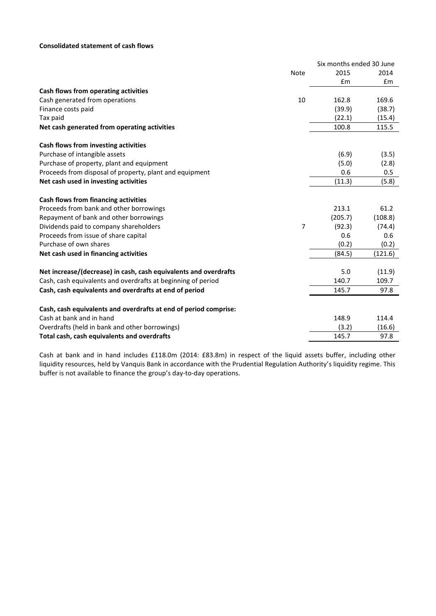# **Consolidated statement of cash flows**

|                                                                  |             | Six months ended 30 June |         |
|------------------------------------------------------------------|-------------|--------------------------|---------|
|                                                                  | <b>Note</b> | 2015                     | 2014    |
|                                                                  |             | £m                       | Em      |
| Cash flows from operating activities                             |             |                          |         |
| Cash generated from operations                                   | 10          | 162.8                    | 169.6   |
| Finance costs paid                                               |             | (39.9)                   | (38.7)  |
| Tax paid                                                         |             | (22.1)                   | (15.4)  |
| Net cash generated from operating activities                     |             | 100.8                    | 115.5   |
| Cash flows from investing activities                             |             |                          |         |
| Purchase of intangible assets                                    |             | (6.9)                    | (3.5)   |
| Purchase of property, plant and equipment                        |             | (5.0)                    | (2.8)   |
| Proceeds from disposal of property, plant and equipment          |             | 0.6                      | 0.5     |
| Net cash used in investing activities                            |             | (11.3)                   | (5.8)   |
| Cash flows from financing activities                             |             |                          |         |
| Proceeds from bank and other borrowings                          |             | 213.1                    | 61.2    |
| Repayment of bank and other borrowings                           |             | (205.7)                  | (108.8) |
| Dividends paid to company shareholders                           | 7           | (92.3)                   | (74.4)  |
| Proceeds from issue of share capital                             |             | 0.6                      | 0.6     |
| Purchase of own shares                                           |             | (0.2)                    | (0.2)   |
| Net cash used in financing activities                            |             | (84.5)                   | (121.6) |
| Net increase/(decrease) in cash, cash equivalents and overdrafts |             | 5.0                      | (11.9)  |
| Cash, cash equivalents and overdrafts at beginning of period     |             | 140.7                    | 109.7   |
| Cash, cash equivalents and overdrafts at end of period           |             | 145.7                    | 97.8    |
| Cash, cash equivalents and overdrafts at end of period comprise: |             |                          |         |
| Cash at bank and in hand                                         |             | 148.9                    | 114.4   |
| Overdrafts (held in bank and other borrowings)                   |             | (3.2)                    | (16.6)  |
| Total cash, cash equivalents and overdrafts                      |             | 145.7                    | 97.8    |

Cash at bank and in hand includes £118.0m (2014: £83.8m) in respect of the liquid assets buffer, including other liquidity resources, held by Vanquis Bank in accordance with the Prudential Regulation Authority's liquidity regime. This buffer is not available to finance the group's day-to-day operations.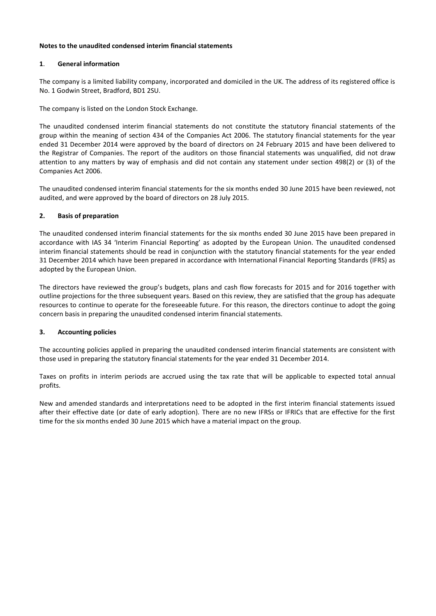# **Notes to the unaudited condensed interim financial statements**

# **1**. **General information**

The company is a limited liability company, incorporated and domiciled in the UK. The address of its registered office is No. 1 Godwin Street, Bradford, BD1 2SU.

The company is listed on the London Stock Exchange.

The unaudited condensed interim financial statements do not constitute the statutory financial statements of the group within the meaning of section 434 of the Companies Act 2006. The statutory financial statements for the year ended 31 December 2014 were approved by the board of directors on 24 February 2015 and have been delivered to the Registrar of Companies. The report of the auditors on those financial statements was unqualified, did not draw attention to any matters by way of emphasis and did not contain any statement under section 498(2) or (3) of the Companies Act 2006.

The unaudited condensed interim financial statements for the six months ended 30 June 2015 have been reviewed, not audited, and were approved by the board of directors on 28 July 2015.

# **2. Basis of preparation**

The unaudited condensed interim financial statements for the six months ended 30 June 2015 have been prepared in accordance with IAS 34 'Interim Financial Reporting' as adopted by the European Union. The unaudited condensed interim financial statements should be read in conjunction with the statutory financial statements for the year ended 31 December 2014 which have been prepared in accordance with International Financial Reporting Standards (IFRS) as adopted by the European Union.

The directors have reviewed the group's budgets, plans and cash flow forecasts for 2015 and for 2016 together with outline projections for the three subsequent years. Based on this review, they are satisfied that the group has adequate resources to continue to operate for the foreseeable future. For this reason, the directors continue to adopt the going concern basis in preparing the unaudited condensed interim financial statements.

# **3. Accounting policies**

The accounting policies applied in preparing the unaudited condensed interim financial statements are consistent with those used in preparing the statutory financial statements for the year ended 31 December 2014.

Taxes on profits in interim periods are accrued using the tax rate that will be applicable to expected total annual profits.

New and amended standards and interpretations need to be adopted in the first interim financial statements issued after their effective date (or date of early adoption). There are no new IFRSs or IFRICs that are effective for the first time for the six months ended 30 June 2015 which have a material impact on the group.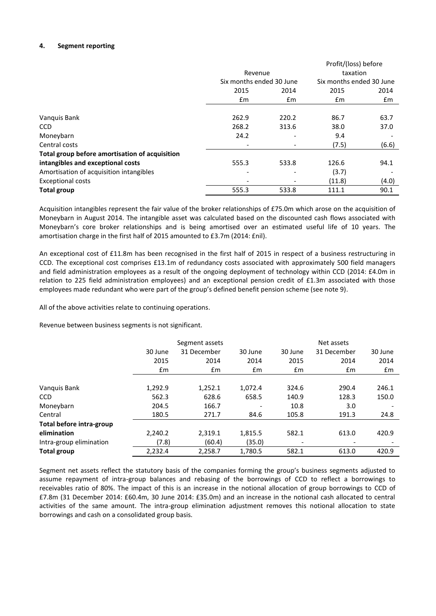# **4. Segment reporting**

|                                                |                          |               | Profit/(loss) before     |       |  |
|------------------------------------------------|--------------------------|---------------|--------------------------|-------|--|
|                                                | Revenue                  |               | taxation                 |       |  |
|                                                | Six months ended 30 June |               | Six months ended 30 June |       |  |
|                                                | 2015                     | 2014          | 2015                     | 2014  |  |
|                                                | Em                       | $\mathsf{fm}$ | £m                       | £m    |  |
|                                                |                          |               |                          |       |  |
| Vanquis Bank                                   | 262.9                    | 220.2         | 86.7                     | 63.7  |  |
| <b>CCD</b>                                     | 268.2                    | 313.6         | 38.0                     | 37.0  |  |
| Moneybarn                                      | 24.2                     |               | 9.4                      |       |  |
| Central costs                                  |                          |               | (7.5)                    | (6.6) |  |
| Total group before amortisation of acquisition |                          |               |                          |       |  |
| intangibles and exceptional costs              | 555.3                    | 533.8         | 126.6                    | 94.1  |  |
| Amortisation of acquisition intangibles        | ٠                        |               | (3.7)                    |       |  |
| <b>Exceptional costs</b>                       |                          |               | (11.8)                   | (4.0) |  |
| <b>Total group</b>                             | 555.3                    | 533.8         | 111.1                    | 90.1  |  |

Acquisition intangibles represent the fair value of the broker relationships of £75.0m which arose on the acquisition of Moneybarn in August 2014. The intangible asset was calculated based on the discounted cash flows associated with Moneybarn's core broker relationships and is being amortised over an estimated useful life of 10 years. The amortisation charge in the first half of 2015 amounted to £3.7m (2014: £nil).

An exceptional cost of £11.8m has been recognised in the first half of 2015 in respect of a business restructuring in CCD. The exceptional cost comprises £13.1m of redundancy costs associated with approximately 500 field managers and field administration employees as a result of the ongoing deployment of technology within CCD (2014: £4.0m in relation to 225 field administration employees) and an exceptional pension credit of £1.3m associated with those employees made redundant who were part of the group's defined benefit pension scheme (see note 9).

All of the above activities relate to continuing operations.

Revenue between business segments is not significant.

|                          |               | Segment assets |               |               | Net assets  |         |
|--------------------------|---------------|----------------|---------------|---------------|-------------|---------|
|                          | 30 June       | 31 December    | 30 June       | 30 June       | 31 December | 30 June |
|                          | 2015          | 2014           | 2014          | 2015          | 2014        | 2014    |
|                          | $\mathsf{fm}$ | $\mathsf{fm}$  | $\mathsf{fm}$ | $\mathsf{fm}$ | Em          | £m      |
|                          |               |                |               |               |             |         |
| Vanquis Bank             | 1,292.9       | 1,252.1        | 1.072.4       | 324.6         | 290.4       | 246.1   |
| <b>CCD</b>               | 562.3         | 628.6          | 658.5         | 140.9         | 128.3       | 150.0   |
| Moneybarn                | 204.5         | 166.7          |               | 10.8          | 3.0         |         |
| Central                  | 180.5         | 271.7          | 84.6          | 105.8         | 191.3       | 24.8    |
| Total before intra-group |               |                |               |               |             |         |
| elimination              | 2,240.2       | 2,319.1        | 1,815.5       | 582.1         | 613.0       | 420.9   |
| Intra-group elimination  | (7.8)         | (60.4)         | (35.0)        |               | -           |         |
| <b>Total group</b>       | 2,232.4       | 2,258.7        | 1.780.5       | 582.1         | 613.0       | 420.9   |

Segment net assets reflect the statutory basis of the companies forming the group's business segments adjusted to assume repayment of intra-group balances and rebasing of the borrowings of CCD to reflect a borrowings to receivables ratio of 80%. The impact of this is an increase in the notional allocation of group borrowings to CCD of £7.8m (31 December 2014: £60.4m, 30 June 2014: £35.0m) and an increase in the notional cash allocated to central activities of the same amount. The intra-group elimination adjustment removes this notional allocation to state borrowings and cash on a consolidated group basis.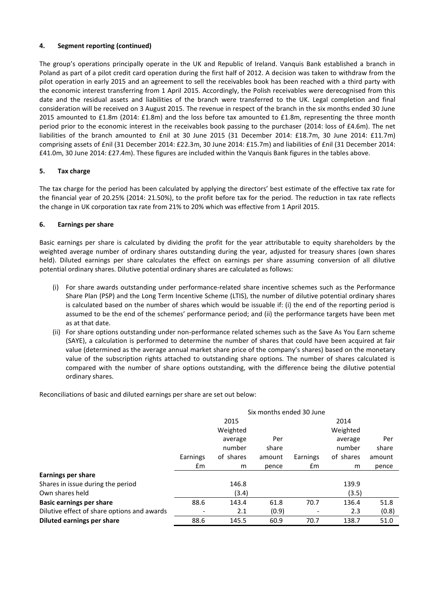# **4. Segment reporting (continued)**

The group's operations principally operate in the UK and Republic of Ireland. Vanquis Bank established a branch in Poland as part of a pilot credit card operation during the first half of 2012. A decision was taken to withdraw from the pilot operation in early 2015 and an agreement to sell the receivables book has been reached with a third party with the economic interest transferring from 1 April 2015. Accordingly, the Polish receivables were derecognised from this date and the residual assets and liabilities of the branch were transferred to the UK. Legal completion and final consideration will be received on 3 August 2015. The revenue in respect of the branch in the six months ended 30 June 2015 amounted to £1.8m (2014: £1.8m) and the loss before tax amounted to £1.8m, representing the three month period prior to the economic interest in the receivables book passing to the purchaser (2014: loss of £4.6m). The net liabilities of the branch amounted to £nil at 30 June 2015 (31 December 2014: £18.7m, 30 June 2014: £11.7m) comprising assets of £nil (31 December 2014: £22.3m, 30 June 2014: £15.7m) and liabilities of £nil (31 December 2014: £41.0m, 30 June 2014: £27.4m). These figures are included within the Vanquis Bank figures in the tables above.

# **5. Tax charge**

The tax charge for the period has been calculated by applying the directors' best estimate of the effective tax rate for the financial year of 20.25% (2014: 21.50%), to the profit before tax for the period. The reduction in tax rate reflects the change in UK corporation tax rate from 21% to 20% which was effective from 1 April 2015.

# **6. Earnings per share**

Basic earnings per share is calculated by dividing the profit for the year attributable to equity shareholders by the weighted average number of ordinary shares outstanding during the year, adjusted for treasury shares (own shares held). Diluted earnings per share calculates the effect on earnings per share assuming conversion of all dilutive potential ordinary shares. Dilutive potential ordinary shares are calculated as follows:

- (i) For share awards outstanding under performance-related share incentive schemes such as the Performance Share Plan (PSP) and the Long Term Incentive Scheme (LTIS), the number of dilutive potential ordinary shares is calculated based on the number of shares which would be issuable if: (i) the end of the reporting period is assumed to be the end of the schemes' performance period; and (ii) the performance targets have been met as at that date.
- (ii) For share options outstanding under non-performance related schemes such as the Save As You Earn scheme (SAYE), a calculation is performed to determine the number of shares that could have been acquired at fair value (determined as the average annual market share price of the company's shares) based on the monetary value of the subscription rights attached to outstanding share options. The number of shares calculated is compared with the number of share options outstanding, with the difference being the dilutive potential ordinary shares.

Reconciliations of basic and diluted earnings per share are set out below:

|                                             | Six months ended 30 June |           |        |          |           |        |
|---------------------------------------------|--------------------------|-----------|--------|----------|-----------|--------|
|                                             |                          | 2015      |        |          | 2014      |        |
|                                             |                          | Weighted  |        |          | Weighted  |        |
|                                             |                          | average   | Per    |          | average   | Per    |
|                                             |                          | number    | share  |          | number    | share  |
|                                             | Earnings                 | of shares | amount | Earnings | of shares | amount |
|                                             | £m                       | m         | pence  | £m       | m         | pence  |
| <b>Earnings per share</b>                   |                          |           |        |          |           |        |
| Shares in issue during the period           |                          | 146.8     |        |          | 139.9     |        |
| Own shares held                             |                          | (3.4)     |        |          | (3.5)     |        |
| <b>Basic earnings per share</b>             | 88.6                     | 143.4     | 61.8   | 70.7     | 136.4     | 51.8   |
| Dilutive effect of share options and awards |                          | 2.1       | (0.9)  |          | 2.3       | (0.8)  |
| <b>Diluted earnings per share</b>           | 88.6                     | 145.5     | 60.9   | 70.7     | 138.7     | 51.0   |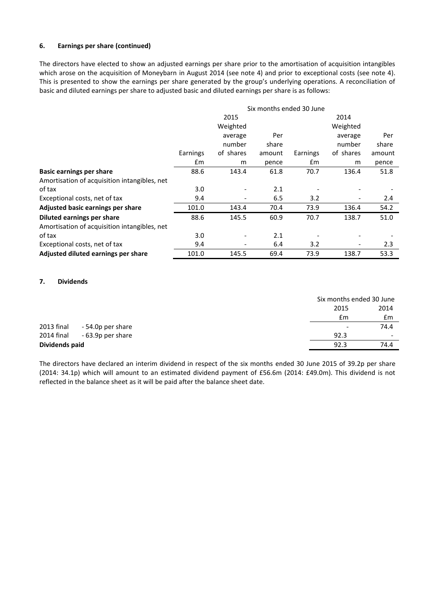# **6. Earnings per share (continued)**

The directors have elected to show an adjusted earnings per share prior to the amortisation of acquisition intangibles which arose on the acquisition of Moneybarn in August 2014 (see note 4) and prior to exceptional costs (see note 4). This is presented to show the earnings per share generated by the group's underlying operations. A reconciliation of basic and diluted earnings per share to adjusted basic and diluted earnings per share is as follows:

|                                              | Six months ended 30 June |           |        |          |           |        |
|----------------------------------------------|--------------------------|-----------|--------|----------|-----------|--------|
|                                              |                          | 2015      |        |          | 2014      |        |
|                                              |                          | Weighted  |        |          | Weighted  |        |
|                                              |                          | average   | Per    |          | average   | Per    |
|                                              |                          | number    | share  |          | number    | share  |
|                                              | Earnings                 | of shares | amount | Earnings | of shares | amount |
|                                              | £m                       | m         | pence  | £m       | m         | pence  |
| <b>Basic earnings per share</b>              | 88.6                     | 143.4     | 61.8   | 70.7     | 136.4     | 51.8   |
| Amortisation of acquisition intangibles, net |                          |           |        |          |           |        |
| of tax                                       | 3.0                      |           | 2.1    |          |           |        |
| Exceptional costs, net of tax                | 9.4                      |           | 6.5    | 3.2      |           | 2.4    |
| Adjusted basic earnings per share            | 101.0                    | 143.4     | 70.4   | 73.9     | 136.4     | 54.2   |
| Diluted earnings per share                   | 88.6                     | 145.5     | 60.9   | 70.7     | 138.7     | 51.0   |
| Amortisation of acquisition intangibles, net |                          |           |        |          |           |        |
| of tax                                       | 3.0                      |           | 2.1    |          |           |        |
| Exceptional costs, net of tax                | 9.4                      | -         | 6.4    | 3.2      |           | 2.3    |
| Adjusted diluted earnings per share          | 101.0                    | 145.5     | 69.4   | 73.9     | 138.7     | 53.3   |

## **7. Dividends**

|                |                   |                          | Six months ended 30 June |
|----------------|-------------------|--------------------------|--------------------------|
|                |                   | 2015                     | 2014                     |
|                |                   | £m                       | £m                       |
| 2013 final     | - 54.0p per share | $\overline{\phantom{a}}$ | 74.4                     |
| 2014 final     | - 63.9p per share | 92.3                     | $\overline{\phantom{a}}$ |
| Dividends paid |                   | 92.3                     | 74.4                     |

The directors have declared an interim dividend in respect of the six months ended 30 June 2015 of 39.2p per share (2014: 34.1p) which will amount to an estimated dividend payment of £56.6m (2014: £49.0m). This dividend is not reflected in the balance sheet as it will be paid after the balance sheet date.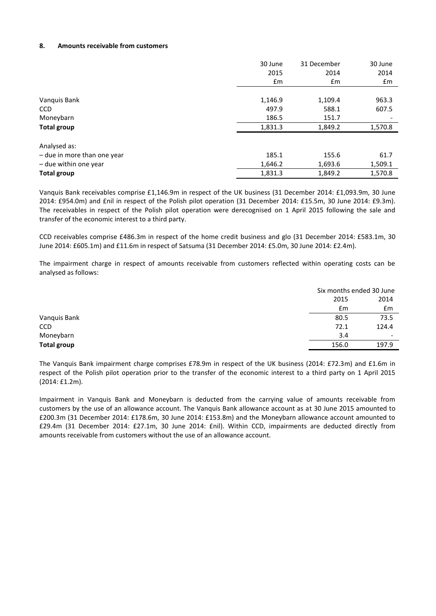## **8. Amounts receivable from customers**

|                             | 30 June | 31 December | 30 June |
|-----------------------------|---------|-------------|---------|
|                             | 2015    | 2014        | 2014    |
|                             | £m      | £m          | £m      |
|                             |         |             |         |
| Vanquis Bank                | 1,146.9 | 1,109.4     | 963.3   |
| <b>CCD</b>                  | 497.9   | 588.1       | 607.5   |
| Moneybarn                   | 186.5   | 151.7       |         |
| Total group                 | 1,831.3 | 1,849.2     | 1,570.8 |
| Analysed as:                |         |             |         |
| - due in more than one year | 185.1   | 155.6       | 61.7    |
| - due within one year       | 1,646.2 | 1,693.6     | 1,509.1 |
| Total group                 | 1,831.3 | 1,849.2     | 1,570.8 |

Vanquis Bank receivables comprise £1,146.9m in respect of the UK business (31 December 2014: £1,093.9m, 30 June 2014: £954.0m) and £nil in respect of the Polish pilot operation (31 December 2014: £15.5m, 30 June 2014: £9.3m). The receivables in respect of the Polish pilot operation were derecognised on 1 April 2015 following the sale and transfer of the economic interest to a third party.

CCD receivables comprise £486.3m in respect of the home credit business and glo (31 December 2014: £583.1m, 30 June 2014: £605.1m) and £11.6m in respect of Satsuma (31 December 2014: £5.0m, 30 June 2014: £2.4m).

The impairment charge in respect of amounts receivable from customers reflected within operating costs can be analysed as follows:

|                    |       | Six months ended 30 June |
|--------------------|-------|--------------------------|
|                    | 2015  | 2014                     |
|                    | £m    | £m                       |
| Vanquis Bank       | 80.5  | 73.5                     |
| <b>CCD</b>         | 72.1  | 124.4                    |
| Moneybarn          | 3.4   | $\overline{\phantom{a}}$ |
| <b>Total group</b> | 156.0 | 197.9                    |

The Vanquis Bank impairment charge comprises £78.9m in respect of the UK business (2014: £72.3m) and £1.6m in respect of the Polish pilot operation prior to the transfer of the economic interest to a third party on 1 April 2015 (2014: £1.2m).

Impairment in Vanquis Bank and Moneybarn is deducted from the carrying value of amounts receivable from customers by the use of an allowance account. The Vanquis Bank allowance account as at 30 June 2015 amounted to £200.3m (31 December 2014: £178.6m, 30 June 2014: £153.8m) and the Moneybarn allowance account amounted to £29.4m (31 December 2014: £27.1m, 30 June 2014: £nil). Within CCD, impairments are deducted directly from amounts receivable from customers without the use of an allowance account.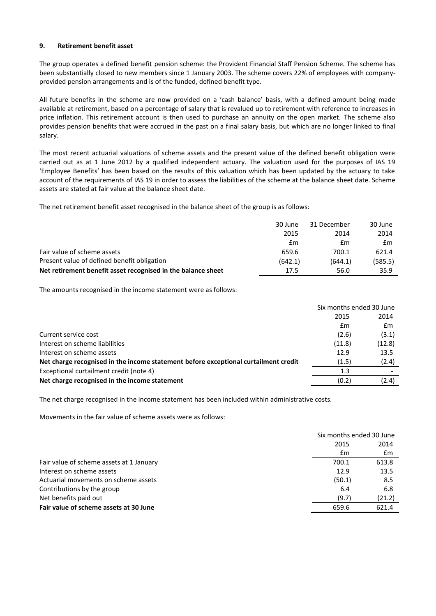## **9. Retirement benefit asset**

The group operates a defined benefit pension scheme: the Provident Financial Staff Pension Scheme. The scheme has been substantially closed to new members since 1 January 2003. The scheme covers 22% of employees with companyprovided pension arrangements and is of the funded, defined benefit type.

All future benefits in the scheme are now provided on a 'cash balance' basis, with a defined amount being made available at retirement, based on a percentage of salary that is revalued up to retirement with reference to increases in price inflation. This retirement account is then used to purchase an annuity on the open market. The scheme also provides pension benefits that were accrued in the past on a final salary basis, but which are no longer linked to final salary.

The most recent actuarial valuations of scheme assets and the present value of the defined benefit obligation were carried out as at 1 June 2012 by a qualified independent actuary. The valuation used for the purposes of IAS 19 'Employee Benefits' has been based on the results of this valuation which has been updated by the actuary to take account of the requirements of IAS 19 in order to assess the liabilities of the scheme at the balance sheet date. Scheme assets are stated at fair value at the balance sheet date.

The net retirement benefit asset recognised in the balance sheet of the group is as follows:

|                                                              | 30 June | 31 December | 30 June |
|--------------------------------------------------------------|---------|-------------|---------|
|                                                              | 2015    | 2014        | 2014    |
|                                                              | £m      | £m          | £m      |
| Fair value of scheme assets                                  | 659.6   | 700.1       | 621.4   |
| Present value of defined benefit obligation                  | (642.1) | (644.1)     | (585.5) |
| Net retirement benefit asset recognised in the balance sheet | 17.5    | 56.0        | 35.9    |

The amounts recognised in the income statement were as follows:

|                                                                                     | Six months ended 30 June |        |
|-------------------------------------------------------------------------------------|--------------------------|--------|
|                                                                                     | 2015                     | 2014   |
|                                                                                     | £m                       | £m     |
| Current service cost                                                                | (2.6)                    | (3.1)  |
| Interest on scheme liabilities                                                      | (11.8)                   | (12.8) |
| Interest on scheme assets                                                           | 12.9                     | 13.5   |
| Net charge recognised in the income statement before exceptional curtailment credit | (1.5)                    | (2.4)  |
| Exceptional curtailment credit (note 4)                                             | 1.3                      |        |
| Net charge recognised in the income statement                                       | (0.2)                    | (2.4)  |
|                                                                                     |                          |        |

The net charge recognised in the income statement has been included within administrative costs.

Movements in the fair value of scheme assets were as follows:

|                                          |        | Six months ended 30 June |  |  |
|------------------------------------------|--------|--------------------------|--|--|
|                                          | 2015   | 2014                     |  |  |
|                                          | £m     | £m                       |  |  |
| Fair value of scheme assets at 1 January | 700.1  | 613.8                    |  |  |
| Interest on scheme assets                | 12.9   | 13.5                     |  |  |
| Actuarial movements on scheme assets     | (50.1) | 8.5                      |  |  |
| Contributions by the group               | 6.4    | 6.8                      |  |  |
| Net benefits paid out                    | (9.7)  | (21.2)                   |  |  |
| Fair value of scheme assets at 30 June   | 659.6  | 621.4                    |  |  |
|                                          |        |                          |  |  |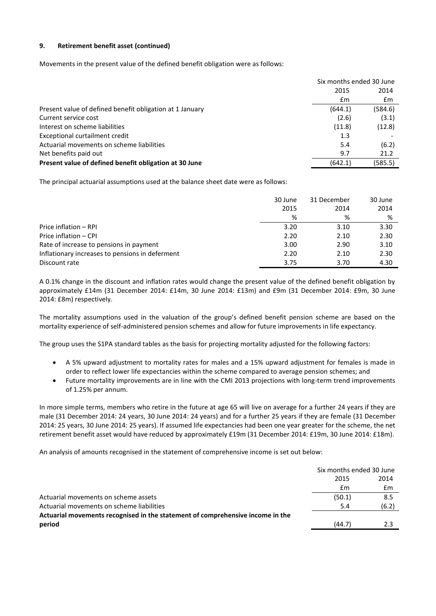# **9. Retirement benefit asset (continued)**

Movements in the present value of the defined benefit obligation were as follows:

|                                                          | Six months ended 30 June |         |  |
|----------------------------------------------------------|--------------------------|---------|--|
|                                                          | 2015                     | 2014    |  |
|                                                          | £m                       | £m      |  |
| Present value of defined benefit obligation at 1 January | (644.1)                  | (584.6) |  |
| Current service cost                                     | (2.6)                    | (3.1)   |  |
| Interest on scheme liabilities                           | (11.8)                   | (12.8)  |  |
| Exceptional curtailment credit                           | 1.3                      |         |  |
| Actuarial movements on scheme liabilities                | 5.4                      | (6.2)   |  |
| Net benefits paid out                                    | 9.7                      | 21.2    |  |
| Present value of defined benefit obligation at 30 June   | (642.1)                  | (585.5) |  |

The principal actuarial assumptions used at the balance sheet date were as follows:

|                                                 | 30 June | 31 December | 30 June |
|-------------------------------------------------|---------|-------------|---------|
|                                                 | 2015    | 2014        | 2014    |
|                                                 | %       | %           | %       |
| Price inflation - RPI                           | 3.20    | 3.10        | 3.30    |
| Price inflation - CPI                           | 2.20    | 2.10        | 2.30    |
| Rate of increase to pensions in payment         | 3.00    | 2.90        | 3.10    |
| Inflationary increases to pensions in deferment | 2.20    | 2.10        | 2.30    |
| Discount rate                                   | 3.75    | 3.70        | 4.30    |

A 0.1% change in the discount and inflation rates would change the present value of the defined benefit obligation by approximately £14m (31 December 2014: £14m, 30 June 2014: £13m) and £9m (31 December 2014: £9m, 30 June 2014: £8m) respectively.

The mortality assumptions used in the valuation of the group's defined benefit pension scheme are based on the mortality experience of self-administered pension schemes and allow for future improvements in life expectancy.

The group uses the S1PA standard tables as the basis for projecting mortality adjusted for the following factors:

- A 5% upward adjustment to mortality rates for males and a 15% upward adjustment for females is made in order to reflect lower life expectancies within the scheme compared to average pension schemes; and
- Future mortality improvements are in line with the CMI 2013 projections with long-term trend improvements of 1.25% per annum.

In more simple terms, members who retire in the future at age 65 will live on average for a further 24 years if they are male (31 December 2014: 24 years, 30 June 2014: 24 years) and for a further 25 years if they are female (31 December 2014: 25 years, 30 June 2014: 25 years). If assumed life expectancies had been one year greater for the scheme, the net retirement benefit asset would have reduced by approximately £19m (31 December 2014: £19m, 30 June 2014: £18m).

An analysis of amounts recognised in the statement of comprehensive income is set out below:

|                                                                                | Six months ended 30 June |       |
|--------------------------------------------------------------------------------|--------------------------|-------|
|                                                                                | 2015                     | 2014  |
|                                                                                | £m                       | £m    |
| Actuarial movements on scheme assets                                           | (50.1)                   | 8.5   |
| Actuarial movements on scheme liabilities                                      | 5.4                      | (6.2) |
| Actuarial movements recognised in the statement of comprehensive income in the |                          |       |
| period                                                                         | (44.7)                   | 2.3   |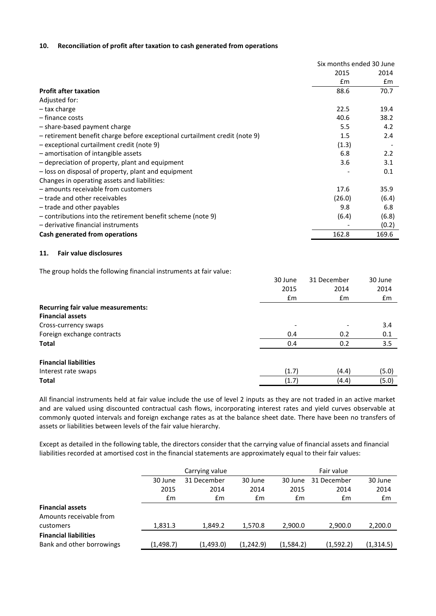## **10. Reconciliation of profit after taxation to cash generated from operations**

|                                                                            | Six months ended 30 June |               |
|----------------------------------------------------------------------------|--------------------------|---------------|
|                                                                            | 2015                     | 2014          |
|                                                                            | Em                       | $\mathsf{fm}$ |
| <b>Profit after taxation</b>                                               | 88.6                     | 70.7          |
| Adjusted for:                                                              |                          |               |
| – tax charge                                                               | 22.5                     | 19.4          |
| - finance costs                                                            | 40.6                     | 38.2          |
| - share-based payment charge                                               | 5.5                      | 4.2           |
| - retirement benefit charge before exceptional curtailment credit (note 9) | 1.5                      | 2.4           |
| - exceptional curtailment credit (note 9)                                  | (1.3)                    |               |
| - amortisation of intangible assets                                        | 6.8                      | 2.2           |
| - depreciation of property, plant and equipment                            | 3.6                      | 3.1           |
| - loss on disposal of property, plant and equipment                        |                          | 0.1           |
| Changes in operating assets and liabilities:                               |                          |               |
| - amounts receivable from customers                                        | 17.6                     | 35.9          |
| - trade and other receivables                                              | (26.0)                   | (6.4)         |
| - trade and other payables                                                 | 9.8                      | 6.8           |
| - contributions into the retirement benefit scheme (note 9)                | (6.4)                    | (6.8)         |
| - derivative financial instruments                                         |                          | (0.2)         |
| Cash generated from operations                                             | 162.8                    | 169.6         |

#### **11. Fair value disclosures**

The group holds the following financial instruments at fair value:

|                                           | 30 June | 31 December              | 30 June |
|-------------------------------------------|---------|--------------------------|---------|
|                                           | 2015    | 2014                     | 2014    |
|                                           | £m      | £m                       | £m      |
| <b>Recurring fair value measurements:</b> |         |                          |         |
| <b>Financial assets</b>                   |         |                          |         |
| Cross-currency swaps                      |         | $\overline{\phantom{a}}$ | 3.4     |
| Foreign exchange contracts                | 0.4     | 0.2                      | 0.1     |
| <b>Total</b>                              | 0.4     | 0.2                      | 3.5     |
| <b>Financial liabilities</b>              |         |                          |         |
| Interest rate swaps                       | (1.7)   | (4.4)                    | (5.0)   |
| <b>Total</b>                              | (1.7)   | (4.4)                    | (5.0)   |

All financial instruments held at fair value include the use of level 2 inputs as they are not traded in an active market and are valued using discounted contractual cash flows, incorporating interest rates and yield curves observable at commonly quoted intervals and foreign exchange rates as at the balance sheet date. There have been no transfers of assets or liabilities between levels of the fair value hierarchy.

Except as detailed in the following table, the directors consider that the carrying value of financial assets and financial liabilities recorded at amortised cost in the financial statements are approximately equal to their fair values:

|                              | Carrying value |             |           | Fair value |             |           |
|------------------------------|----------------|-------------|-----------|------------|-------------|-----------|
|                              | 30 June        | 31 December | 30 June   | 30 June    | 31 December | 30 June   |
|                              | 2015           | 2014        | 2014      | 2015       | 2014        | 2014      |
|                              | £m             | £m          | £m        | £m         | £m          | £m        |
| <b>Financial assets</b>      |                |             |           |            |             |           |
| Amounts receivable from      |                |             |           |            |             |           |
| customers                    | 1,831.3        | 1.849.2     | 1,570.8   | 2.900.0    | 2,900.0     | 2,200.0   |
| <b>Financial liabilities</b> |                |             |           |            |             |           |
| Bank and other borrowings    | (1, 498.7)     | (1,493.0)   | (1,242.9) | (1,584.2)  | (1,592.2)   | (1,314.5) |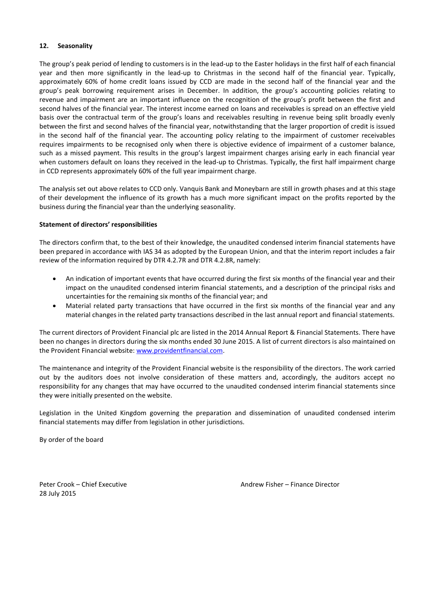# **12. Seasonality**

The group's peak period of lending to customers is in the lead-up to the Easter holidays in the first half of each financial year and then more significantly in the lead-up to Christmas in the second half of the financial year. Typically, approximately 60% of home credit loans issued by CCD are made in the second half of the financial year and the group's peak borrowing requirement arises in December. In addition, the group's accounting policies relating to revenue and impairment are an important influence on the recognition of the group's profit between the first and second halves of the financial year. The interest income earned on loans and receivables is spread on an effective yield basis over the contractual term of the group's loans and receivables resulting in revenue being split broadly evenly between the first and second halves of the financial year, notwithstanding that the larger proportion of credit is issued in the second half of the financial year. The accounting policy relating to the impairment of customer receivables requires impairments to be recognised only when there is objective evidence of impairment of a customer balance, such as a missed payment. This results in the group's largest impairment charges arising early in each financial year when customers default on loans they received in the lead-up to Christmas. Typically, the first half impairment charge in CCD represents approximately 60% of the full year impairment charge.

The analysis set out above relates to CCD only. Vanquis Bank and Moneybarn are still in growth phases and at this stage of their development the influence of its growth has a much more significant impact on the profits reported by the business during the financial year than the underlying seasonality.

# **Statement of directors' responsibilities**

The directors confirm that, to the best of their knowledge, the unaudited condensed interim financial statements have been prepared in accordance with IAS 34 as adopted by the European Union, and that the interim report includes a fair review of the information required by DTR 4.2.7R and DTR 4.2.8R, namely:

- An indication of important events that have occurred during the first six months of the financial year and their impact on the unaudited condensed interim financial statements, and a description of the principal risks and uncertainties for the remaining six months of the financial year; and
- Material related party transactions that have occurred in the first six months of the financial year and any material changes in the related party transactions described in the last annual report and financial statements.

The current directors of Provident Financial plc are listed in the 2014 Annual Report & Financial Statements. There have been no changes in directors during the six months ended 30 June 2015. A list of current directors is also maintained on the Provident Financial website: [www.providentfinancial.com.](http://www.providentfinancial.com/)

The maintenance and integrity of the Provident Financial website is the responsibility of the directors. The work carried out by the auditors does not involve consideration of these matters and, accordingly, the auditors accept no responsibility for any changes that may have occurred to the unaudited condensed interim financial statements since they were initially presented on the website.

Legislation in the United Kingdom governing the preparation and dissemination of unaudited condensed interim financial statements may differ from legislation in other jurisdictions.

By order of the board

28 July 2015

Peter Crook – Chief Executive Andrew Fisher – Finance Director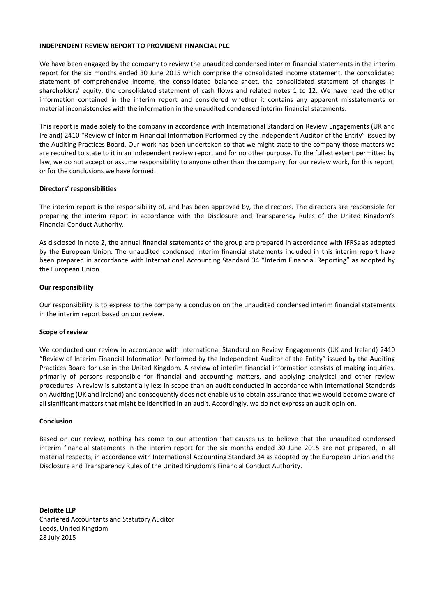#### **INDEPENDENT REVIEW REPORT TO PROVIDENT FINANCIAL PLC**

We have been engaged by the company to review the unaudited condensed interim financial statements in the interim report for the six months ended 30 June 2015 which comprise the consolidated income statement, the consolidated statement of comprehensive income, the consolidated balance sheet, the consolidated statement of changes in shareholders' equity, the consolidated statement of cash flows and related notes 1 to 12. We have read the other information contained in the interim report and considered whether it contains any apparent misstatements or material inconsistencies with the information in the unaudited condensed interim financial statements.

This report is made solely to the company in accordance with International Standard on Review Engagements (UK and Ireland) 2410 "Review of Interim Financial Information Performed by the Independent Auditor of the Entity" issued by the Auditing Practices Board. Our work has been undertaken so that we might state to the company those matters we are required to state to it in an independent review report and for no other purpose. To the fullest extent permitted by law, we do not accept or assume responsibility to anyone other than the company, for our review work, for this report, or for the conclusions we have formed.

# **Directors' responsibilities**

The interim report is the responsibility of, and has been approved by, the directors. The directors are responsible for preparing the interim report in accordance with the Disclosure and Transparency Rules of the United Kingdom's Financial Conduct Authority.

As disclosed in note 2, the annual financial statements of the group are prepared in accordance with IFRSs as adopted by the European Union. The unaudited condensed interim financial statements included in this interim report have been prepared in accordance with International Accounting Standard 34 "Interim Financial Reporting" as adopted by the European Union.

#### **Our responsibility**

Our responsibility is to express to the company a conclusion on the unaudited condensed interim financial statements in the interim report based on our review.

#### **Scope of review**

We conducted our review in accordance with International Standard on Review Engagements (UK and Ireland) 2410 "Review of Interim Financial Information Performed by the Independent Auditor of the Entity" issued by the Auditing Practices Board for use in the United Kingdom. A review of interim financial information consists of making inquiries, primarily of persons responsible for financial and accounting matters, and applying analytical and other review procedures. A review is substantially less in scope than an audit conducted in accordance with International Standards on Auditing (UK and Ireland) and consequently does not enable us to obtain assurance that we would become aware of all significant matters that might be identified in an audit. Accordingly, we do not express an audit opinion.

#### **Conclusion**

Based on our review, nothing has come to our attention that causes us to believe that the unaudited condensed interim financial statements in the interim report for the six months ended 30 June 2015 are not prepared, in all material respects, in accordance with International Accounting Standard 34 as adopted by the European Union and the Disclosure and Transparency Rules of the United Kingdom's Financial Conduct Authority.

**Deloitte LLP** Chartered Accountants and Statutory Auditor Leeds, United Kingdom 28 July 2015